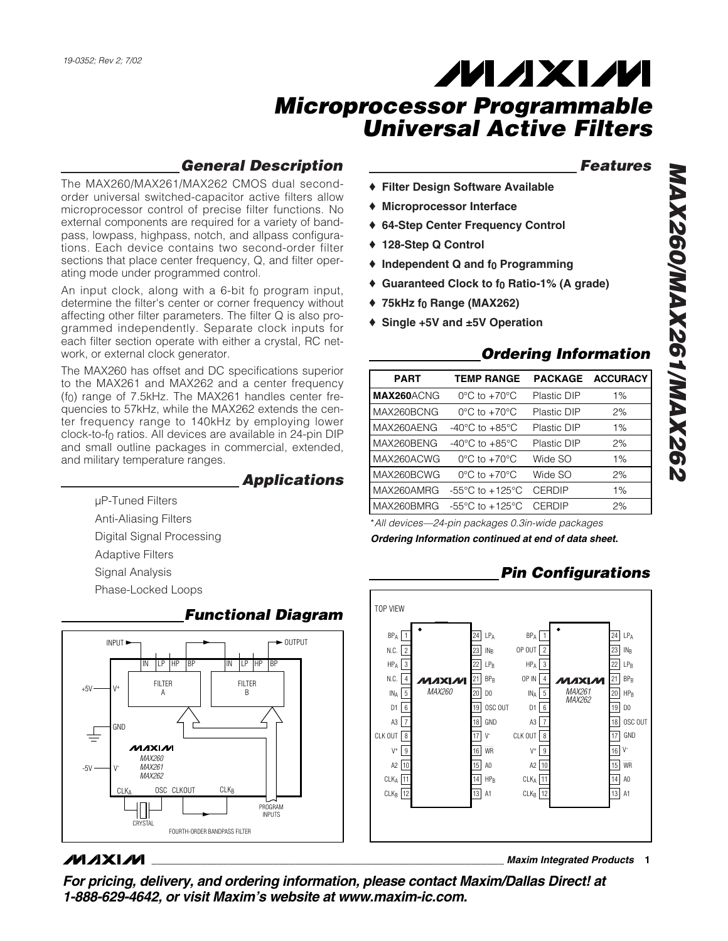## *General Description*

The MAX260/MAX261/MAX262 CMOS dual secondorder universal switched-capacitor active filters allow microprocessor control of precise filter functions. No external components are required for a variety of bandpass, lowpass, highpass, notch, and allpass configurations. Each device contains two second-order filter sections that place center frequency, Q, and filter operating mode under programmed control.

An input clock, along with a 6-bit  $f_0$  program input, determine the filter's center or corner frequency without affecting other filter parameters. The filter Q is also programmed independently. Separate clock inputs for each filter section operate with either a crystal, RC network, or external clock generator.

The MAX260 has offset and DC specifications superior to the MAX261 and MAX262 and a center frequency (f0) range of 7.5kHz. The MAX261 handles center frequencies to 57kHz, while the MAX262 extends the center frequency range to 140kHz by employing lower clock-to-f0 ratios. All devices are available in 24-pin DIP and small outline packages in commercial, extended, and military temperature ranges.

### *Applications*

µP-Tuned Filters Anti-Aliasing Filters Digital Signal Processing Adaptive Filters Signal Analysis Phase-Locked Loops



### *Functional Diagram*

### *Features*

- ♦ **Filter Design Software Available**
- ♦ **Microprocessor Interface**
- ♦ **64-Step Center Frequency Control**
- ♦ **128-Step Q Control**
- ♦ **Independent Q and f0 Programming**
- ♦ **Guaranteed Clock to f0 Ratio-1% (A grade)**
- ♦ **75kHz f0 Range (MAX262)**
- ♦ **Single +5V and ±5V Operation**

### *Ordering Information*

| <b>PART</b>       | <b>TEMP RANGE</b>                   |             | PACKAGE ACCURACY |
|-------------------|-------------------------------------|-------------|------------------|
| <b>MAX260ACNG</b> | $0^{\circ}$ C to $+70^{\circ}$ C    | Plastic DIP | $1\%$            |
| MAX260BCNG        | $0^{\circ}$ C to +70 $^{\circ}$ C   | Plastic DIP | 2%               |
| MAX260AENG        | $-40^{\circ}$ C to $+85^{\circ}$ C  | Plastic DIP | $1\%$            |
| MAX260BENG        | $-40^{\circ}$ C to $+85^{\circ}$ C  | Plastic DIP | 2%               |
| MAX260ACWG        | $0^{\circ}$ C to $+70^{\circ}$ C    | Wide SO     | 1%               |
| MAX260BCWG        | $0^{\circ}$ C to $+70^{\circ}$ C    | Wide SO     | 2%               |
| MAX260AMRG        | $-55^{\circ}$ C to $+125^{\circ}$ C | CERDIP      | 1%               |
| MAX260BMRG        | $-55^{\circ}$ C to $+125^{\circ}$ C | CERDIP      | 2%               |
|                   |                                     |             |                  |

\**All devices—24-pin packages 0.3in-wide packages Ordering Information continued at end of data sheet.*

## *Pin Configurations*



## **MAXIM**

**\_\_\_\_\_\_\_\_\_\_\_\_\_\_\_\_\_\_\_\_\_\_\_\_\_\_\_\_\_\_\_\_\_\_\_\_\_\_\_\_\_\_\_\_\_\_\_\_\_\_\_\_\_\_\_\_\_\_\_\_\_\_\_\_** *Maxim Integrated Products* **1**

*For pricing, delivery, and ordering information, please contact Maxim/Dallas Direct! at 1-888-629-4642, or visit Maxim's website at www.maxim-ic.com.*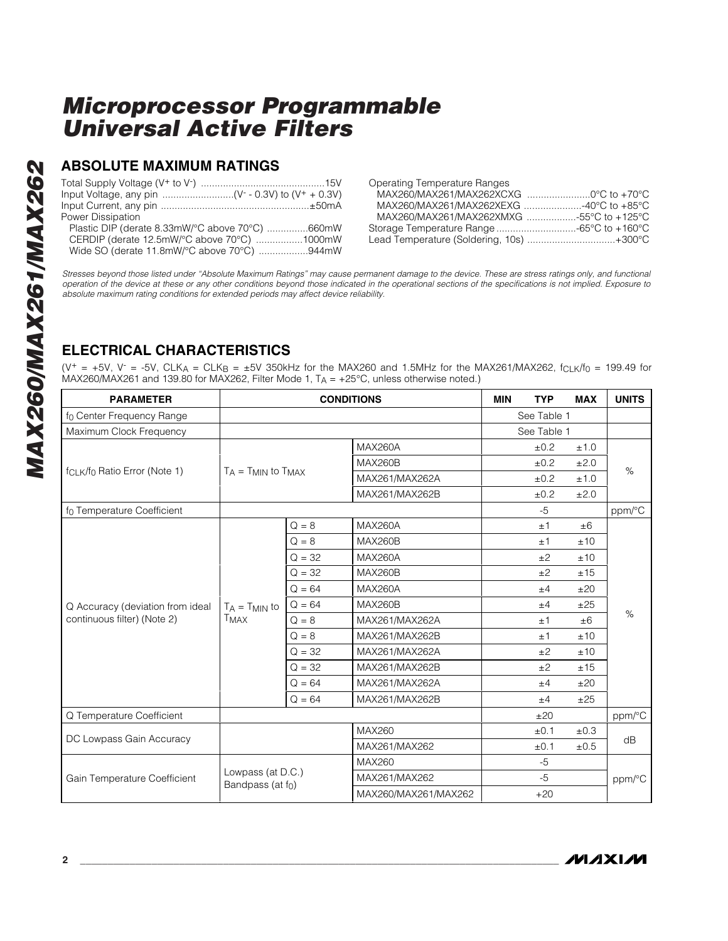### **ABSOLUTE MAXIMUM RATINGS**

| Power Dissipation                               |  |
|-------------------------------------------------|--|
| Plastic DIP (derate 8.33mW/°C above 70°C) 660mW |  |
| CERDIP (derate 12.5mW/°C above 70°C) 1000mW     |  |
| Wide SO (derate 11.8mW/°C above 70°C) 944mW     |  |

| <b>Operating Temperature Ranges</b>       |  |
|-------------------------------------------|--|
|                                           |  |
|                                           |  |
| MAX260/MAX261/MAX262XMXG 55°C to +125°C   |  |
| Storage Temperature Range -65°C to +160°C |  |
| Lead Temperature (Soldering, 10s) +300°C  |  |

*Stresses beyond those listed under "Absolute Maximum Ratings" may cause permanent damage to the device. These are stress ratings only, and functional operation of the device at these or any other conditions beyond those indicated in the operational sections of the specifications is not implied. Exposure to absolute maximum rating conditions for extended periods may affect device reliability.*

## **ELECTRICAL CHARACTERISTICS**

(V<sup>+</sup> = +5V, V<sup>-</sup> = -5V, CLK<sub>A</sub> = CLK<sub>B</sub> =  $\pm$ 5V 350kHz for the MAX260 and 1.5MHz for the MAX261/MAX262, f<sub>CLK</sub>/f<sub>0</sub> = 199.49 for MAX260/MAX261 and 139.80 for MAX262, Filter Mode 1, T A = +25°C, unless otherwise noted.)

| <b>PARAMETER</b>                                      | <b>CONDITIONS</b>             |          | <b>MIN</b>           | <b>TYP</b> | <b>MAX</b>  | <b>UNITS</b> |        |
|-------------------------------------------------------|-------------------------------|----------|----------------------|------------|-------------|--------------|--------|
| f <sub>0</sub> Center Frequency Range                 |                               |          |                      |            | See Table 1 |              |        |
| Maximum Clock Frequency                               |                               |          |                      |            | See Table 1 |              |        |
|                                                       |                               |          | MAX260A              |            | ±0.2        | ±1.0         |        |
|                                                       |                               |          | <b>MAX260B</b>       |            | ±0.2        | ±2.0         | $\%$   |
| f <sub>CLK</sub> /f <sub>0</sub> Ratio Error (Note 1) | $T_A = T_{MIN}$ to $T_{MAX}$  |          | MAX261/MAX262A       |            | ±0.2        | ±1.0         |        |
|                                                       |                               |          | MAX261/MAX262B       |            | ±0.2        | ±2.0         |        |
| fo Temperature Coefficient                            |                               |          |                      |            | $-5$        |              | ppm/°C |
|                                                       |                               | $Q = 8$  | <b>MAX260A</b>       |            | ±1          | ±6           |        |
|                                                       |                               | $Q = 8$  | <b>MAX260B</b>       |            | ±1          | ±10          |        |
|                                                       | $T_A = T_{MIN}$ to<br>Тмах    | $Q = 32$ | MAX260A              |            | ±2          | ±10          | %      |
|                                                       |                               | $Q = 32$ | <b>MAX260B</b>       |            | ±2          | ±15          |        |
|                                                       |                               | $Q = 64$ | <b>MAX260A</b>       |            | ±4          | ±20          |        |
| Q Accuracy (deviation from ideal                      |                               | $Q = 64$ | <b>MAX260B</b>       |            | ±4          | ±25          |        |
| continuous filter) (Note 2)                           |                               | $Q = 8$  | MAX261/MAX262A       |            | ±1          | $\pm 6$      |        |
|                                                       |                               | $Q = 8$  | MAX261/MAX262B       |            | ±1          | ±10          |        |
|                                                       |                               | $Q = 32$ | MAX261/MAX262A       |            | ±2          | ±10          |        |
|                                                       |                               | $Q = 32$ | MAX261/MAX262B       |            | ±2          | ±15          |        |
|                                                       |                               | $Q = 64$ | MAX261/MAX262A       |            | ±4          | ±20          |        |
|                                                       |                               | $Q = 64$ | MAX261/MAX262B       |            | ±4          | ±25          |        |
| Q Temperature Coefficient                             |                               |          |                      |            | ±20         |              | ppm/°C |
|                                                       |                               |          | <b>MAX260</b>        |            | ±0.1        | ±0.3         |        |
| DC Lowpass Gain Accuracy                              |                               |          | MAX261/MAX262        |            | ±0.1        | ±0.5         | dB     |
|                                                       |                               |          | MAX260               |            | $-5$        |              |        |
| Gain Temperature Coefficient                          | Lowpass (at D.C.)             |          | MAX261/MAX262        |            | $-5$        |              | ppm/°C |
|                                                       | Bandpass (at f <sub>0</sub> ) |          | MAX260/MAX261/MAX262 |            | $+20$       |              |        |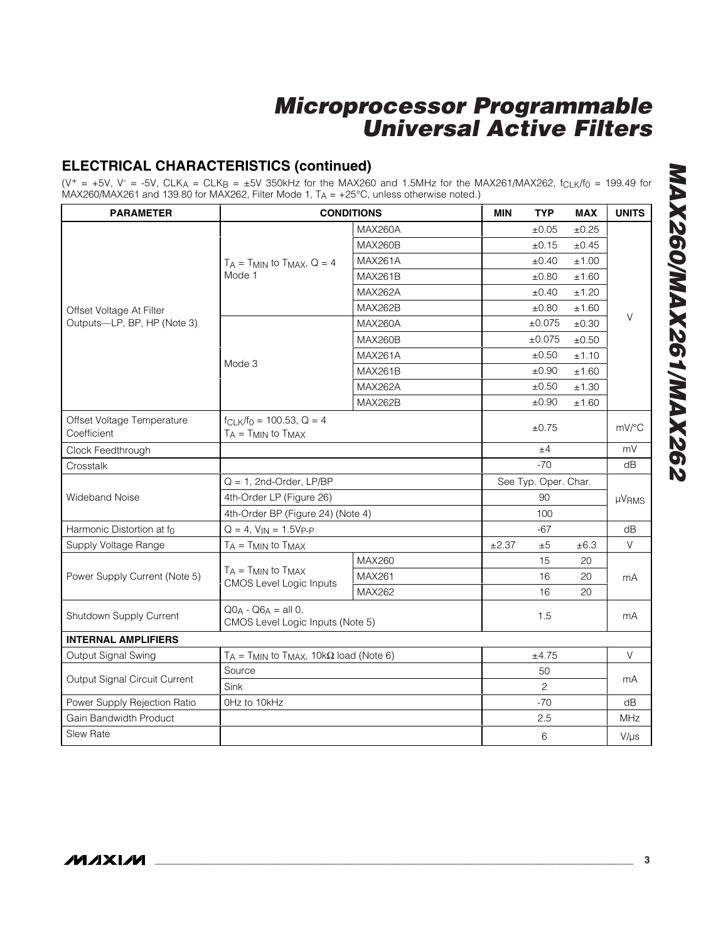## **ELECTRICAL CHARACTERISTICS (continued)**

(V<sup>+</sup> = +5V, V<sup>-</sup> = -5V, CLK<sub>A</sub> = CLK<sub>B</sub> =  $\pm$ 5V 350kHz for the MAX260 and 1.5MHz for the MAX261/MAX262, f<sub>CLK</sub>/f<sub>0</sub> = 199.49 for MAX260/MAX261 and 139.80 for MAX262, Filter Mode 1, T A = +25 °C, unless otherwise noted.)

| <b>PARAMETER</b>                          |                                                                | <b>CONDITIONS</b>    | <b>MIN</b>     | <b>TYP</b> | <b>MAX</b> | <b>UNITS</b> |
|-------------------------------------------|----------------------------------------------------------------|----------------------|----------------|------------|------------|--------------|
|                                           |                                                                | <b>MAX260A</b>       |                | $\pm 0.05$ | ±0.25      |              |
|                                           |                                                                | <b>MAX260B</b>       |                | $\pm 0.15$ | $\pm 0.45$ |              |
|                                           | $T_A = T_{MIN}$ to $T_{MAX}$ , Q = 4                           | <b>MAX261A</b>       |                | ±0.40      | ±1.00      |              |
|                                           | Mode 1                                                         | <b>MAX261B</b>       |                | ±0.80      | ±1.60      |              |
|                                           |                                                                | <b>MAX262A</b>       |                | ±0.40      | ±1.20      |              |
| Offset Voltage At Filter                  |                                                                | <b>MAX262B</b>       |                | ±0.80      | ±1.60      |              |
| Outputs-LP, BP, HP (Note 3)               |                                                                | <b>MAX260A</b>       |                | ±0.075     | ±0.30      | V            |
|                                           |                                                                | <b>MAX260B</b>       |                | ±0.075     | ±0.50      |              |
|                                           |                                                                | <b>MAX261A</b>       |                | $\pm 0.50$ | ±1.10      |              |
|                                           | Mode 3                                                         | <b>MAX261B</b>       |                | ±0.90      | ±1.60      |              |
|                                           |                                                                | <b>MAX262A</b>       |                | ±0.50      | ±1.30      |              |
|                                           |                                                                | <b>MAX262B</b>       |                | ±0.90      | ±1.60      |              |
| Offset Voltage Temperature<br>Coefficient | $f_{CLK}/f_0 = 100.53$ , Q = 4<br>$T_A = T_{MIN}$ to $T_{MAX}$ |                      |                | $\pm 0.75$ |            | mV/°C        |
| Clock Feedthrough                         |                                                                |                      | ±4             |            | mV         |              |
| Crosstalk                                 |                                                                |                      |                | $-70$      |            | dB           |
|                                           | $Q = 1$ , 2nd-Order, LP/BP                                     | See Typ. Oper. Char. |                |            |            |              |
| <b>Wideband Noise</b>                     | 4th-Order LP (Figure 26)                                       |                      | 90             |            | µVRMS      |              |
|                                           | 4th-Order BP (Figure 24) (Note 4)                              |                      | 100            |            |            |              |
| Harmonic Distortion at fo                 | $Q = 4$ , $V_{IN} = 1.5V_{P-P}$                                |                      |                | $-67$      |            | dB           |
| Supply Voltage Range                      | $T_A = T_{MIN}$ to $T_{MAX}$                                   |                      | ±2.37          | ±5         | ±6.3       | $\vee$       |
|                                           |                                                                | <b>MAX260</b>        |                | 15         | 20         |              |
| Power Supply Current (Note 5)             | $T_A = T_{MIN}$ to $T_{MAX}$<br><b>CMOS Level Logic Inputs</b> | MAX261               |                | 16         | 20         | mA           |
|                                           |                                                                | MAX262               |                | 16         | 20         |              |
| Shutdown Supply Current                   | $Q_0A - Q_6A = all 0,$<br>CMOS Level Logic Inputs (Note 5)     |                      |                | 1.5        |            | mA           |
| <b>INTERNAL AMPLIFIERS</b>                |                                                                |                      |                |            |            |              |
| Output Signal Swing                       | $T_A = T_{MIN}$ to $T_{MAX}$ , 10k $\Omega$ load (Note 6)      |                      | ±4.75          |            | V          |              |
| Output Signal Circuit Current             | Source                                                         |                      |                | 50         |            |              |
|                                           | Sink                                                           |                      | $\overline{2}$ |            | mA         |              |
| Power Supply Rejection Ratio              | OHz to 10kHz                                                   |                      |                | $-70$      |            | dB           |
| <b>Gain Bandwidth Product</b>             |                                                                |                      |                | 2.5        |            | <b>MHz</b>   |
| <b>Slew Rate</b>                          |                                                                |                      |                | 6          |            | $V/\mu s$    |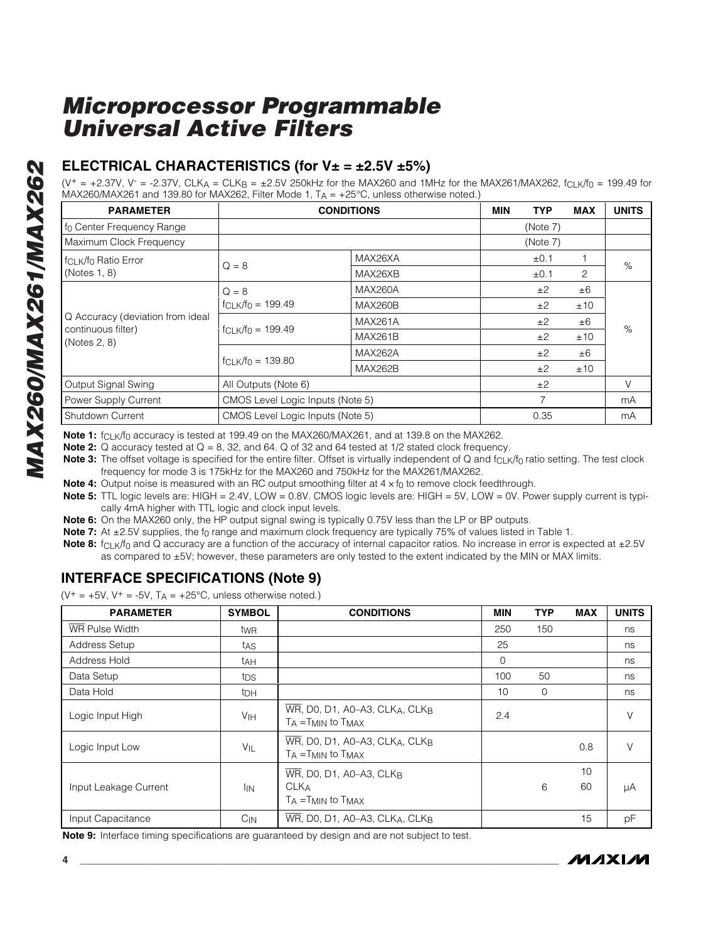### **ELECTRICAL CHARACTERISTICS (for V± = ±2.5V ±5%)**

(V<sup>+</sup> = +2.37V, V<sup>-</sup> = -2.37V, CLK<sub>A</sub> = CLK<sub>B</sub> = ±2.5V 250kHz for the MAX260 and 1MHz for the MAX261/MAX262, f<sub>CLK</sub>/f<sub>0</sub> = 199.49 for MAX260/MAX261 and 139.80 for MAX262, Filter Mode 1, T A = +25 °C, unless otherwise noted.)

| <b>PARAMETER</b>                             |                                                                          | <b>CONDITIONS</b> | MIN | TYP            | <b>MAX</b> | <b>UNITS</b> |
|----------------------------------------------|--------------------------------------------------------------------------|-------------------|-----|----------------|------------|--------------|
| If <sub>0</sub> Center Frequency Range       |                                                                          |                   |     | (Note 7)       |            |              |
| Maximum Clock Frequency                      |                                                                          |                   |     | (Note 7)       |            |              |
| f <sub>CLK</sub> /f <sub>0</sub> Ratio Error |                                                                          | MAX26XA           |     | $\pm 0.1$      |            | %            |
| (Notes 1, 8)                                 | $Q = 8$                                                                  | MAX26XB           |     | $\pm 0.1$      | 2          |              |
|                                              | $Q = 8$                                                                  | <b>MAX260A</b>    |     | ±2             | $\pm 6$    |              |
|                                              | $f_{CLK}/f_0 = 199.49$                                                   | <b>MAX260B</b>    |     | ±2             | ±10        | $\%$         |
| Q Accuracy (deviation from ideal             | $f_{CLK}/f_0 = 199.49$                                                   | <b>MAX261A</b>    |     | ±2             | $\pm 6$    |              |
| continuous filter)<br>(Notes 2, 8)           |                                                                          | <b>MAX261B</b>    |     | ±2             | ±10        |              |
|                                              |                                                                          | <b>MAX262A</b>    |     | ±2             | $\pm 6$    |              |
|                                              | $f_{C1}$ $\frac{1}{5}$ $\frac{1}{2}$ $\frac{39.80}{5}$<br><b>MAX262B</b> |                   |     | ±2             | ±10        |              |
| Output Signal Swing                          | All Outputs (Note 6)                                                     |                   |     | ±2             |            | V            |
| Power Supply Current                         | CMOS Level Logic Inputs (Note 5)                                         |                   |     | $\overline{7}$ |            | mA           |
| Shutdown Current                             | CMOS Level Logic Inputs (Note 5)                                         |                   |     | 0.35           |            | mA           |

**Note 1:** f<sub>CLK</sub>/f<sub>0</sub> accuracy is tested at 199.49 on the MAX260/MAX261, and at 139.8 on the MAX262.

**Note 2:** Q accuracy tested at  $Q = 8$ , 32, and 64. Q of 32 and 64 tested at 1/2 stated clock frequency.

**Note 3:** The offset voltage is specified for the entire filter. Offset is virtually independent of Q and f<sub>CLK</sub>/f<sub>0</sub> ratio setting. The test clock frequency for mode 3 is 175kHz for the MAX260 and 750kHz for the MAX261/MAX262.

**Note 4:** Output noise is measured with an RC output smoothing filter at 4 x f<sub>0</sub> to remove clock feedthrough.

**Note 5:** TTL logic levels are: HIGH = 2.4V, LOW = 0.8V. CMOS logic levels are: HIGH = 5V, LOW = 0V. Power supply current is typically 4mA higher with TTL logic and clock input levels.

**Note 6:** On the MAX260 only, the HP output signal swing is typically 0.75V less than the LP or BP outputs.

**Note 7:** At ±2.5V supplies, the f<sub>0</sub> range and maximum clock frequency are typically 75% of values listed in Table 1.

**Note 8:** f<sub>CLK</sub>/f<sub>0</sub> and Q accuracy are a function of the accuracy of internal capacitor ratios. No increase in error is expected at ±2.5V as compared to ±5V; however, these parameters are only tested to the extent indicated by the MIN or MAX limits.

### **INTERFACE SPECIFICATIONS (Note 9)**

 $(V^+= +5V, V^+= -5V, T_A = +25^{\circ}C,$  unless otherwise noted.)

| <b>PARAMETER</b>      | <b>SYMBOL</b>   | <b>CONDITIONS</b>                                                                                           | <b>MIN</b> | <b>TYP</b>  | <b>MAX</b> | <b>UNITS</b> |
|-----------------------|-----------------|-------------------------------------------------------------------------------------------------------------|------------|-------------|------------|--------------|
| <b>WR</b> Pulse Width | twR             |                                                                                                             | 250        | 150         |            | ns           |
| <b>Address Setup</b>  | tas             |                                                                                                             | 25         |             |            | ns           |
| Address Hold          | tah             |                                                                                                             | $\Omega$   |             |            | ns           |
| Data Setup            | tps             |                                                                                                             | 100        | 50          |            | ns           |
| Data Hold             | t <sub>DH</sub> |                                                                                                             | 10         | $\mathbf 0$ |            | ns           |
| Logic Input High      | VIH             | $\overline{\text{WR}}$ , D0, D1, A0-A3, CLKA, CLKB<br>$T_A = T_{MIN}$ to $T_{MAX}$                          | 2.4        |             |            | V            |
| Logic Input Low       | VIL             | $\overline{\text{WR}}$ , DO, D1, A0-A3, CLK <sub>A</sub> , CLK <sub>B</sub><br>$T_A = T_{MIN}$ to $T_{MAX}$ |            |             | 0.8        | V            |
| Input Leakage Current | <b>I</b> IN     | WR, DO, D1, A0-A3, CLKB<br><b>CLKA</b><br>$T_A = T_{MIN}$ to $T_{MAX}$                                      |            | 6           | 10<br>60   | μA           |
| Input Capacitance     | $C_{IN}$        | WR, DO, D1, A0-A3, CLKA, CLKB                                                                               |            |             | 15         | pF           |

**Note 9:** Interface timing specifications are guaranteed by design and are not subject to test.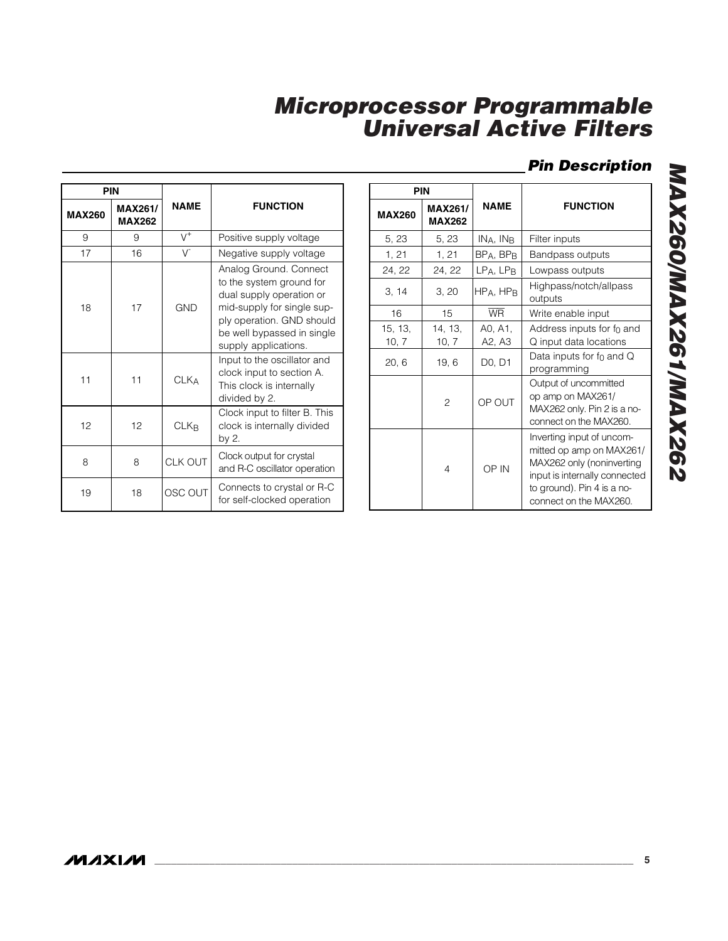### *Pin Description*

|               | <b>PIN</b>                      |             |                                                                                                                                                                                                 |
|---------------|---------------------------------|-------------|-------------------------------------------------------------------------------------------------------------------------------------------------------------------------------------------------|
| <b>MAX260</b> | <b>MAX261/</b><br><b>MAX262</b> | <b>NAME</b> | <b>FUNCTION</b>                                                                                                                                                                                 |
| 9             | 9                               | $V^+$       | Positive supply voltage                                                                                                                                                                         |
| 17            | 16                              | V           | Negative supply voltage                                                                                                                                                                         |
| 18            | 17                              | GND         | Analog Ground. Connect<br>to the system ground for<br>dual supply operation or<br>mid-supply for single sup-<br>ply operation. GND should<br>be well bypassed in single<br>supply applications. |
| 11            | 11                              | <b>CLKA</b> | Input to the oscillator and<br>clock input to section A.<br>This clock is internally<br>divided by 2.                                                                                           |
| 12            | 12                              | <b>CLKR</b> | Clock input to filter B. This<br>clock is internally divided<br>by 2.                                                                                                                           |
| 8             | 8                               | CLK OUT     | Clock output for crystal<br>and R-C oscillator operation                                                                                                                                        |
| 19            | 18                              | OSC OUT     | Connects to crystal or R-C<br>for self-clocked operation                                                                                                                                        |

|                  | <b>PIN</b>                      |                                 |                                                                                                                                                                             |
|------------------|---------------------------------|---------------------------------|-----------------------------------------------------------------------------------------------------------------------------------------------------------------------------|
| <b>MAX260</b>    | <b>MAX261/</b><br><b>MAX262</b> | <b>NAME</b>                     | <b>FUNCTION</b>                                                                                                                                                             |
| 5, 23            | 5, 23                           | INA, IN <sub>B</sub>            | Filter inputs                                                                                                                                                               |
| 1, 21            | 1, 21                           | $BP_A$ , $BP_B$                 | <b>Bandpass outputs</b>                                                                                                                                                     |
| 24, 22           | 24, 22                          | $LPA$ , $LPB$                   | Lowpass outputs                                                                                                                                                             |
| 3, 14            | 3, 20                           | HPA, HPB                        | Highpass/notch/allpass<br>outputs                                                                                                                                           |
| 16               | 15                              | <b>WR</b>                       | Write enable input                                                                                                                                                          |
| 15, 13,<br>10, 7 | 14, 13,<br>10, 7                | A0, A1,<br>A2, A3               | Address inputs for $f_0$ and<br>Q input data locations                                                                                                                      |
| 20, 6            | 19, 6                           | D <sub>0</sub> , D <sub>1</sub> | Data inputs for $f_0$ and Q<br>programming                                                                                                                                  |
|                  | $\overline{c}$                  | OP OUT                          | Output of uncommitted<br>op amp on MAX261/<br>MAX262 only. Pin 2 is a no-<br>connect on the MAX260.                                                                         |
|                  | $\overline{4}$                  | OP IN                           | Inverting input of uncom-<br>mitted op amp on MAX261/<br>MAX262 only (noninverting<br>input is internally connected<br>to ground). Pin 4 is a no-<br>connect on the MAX260. |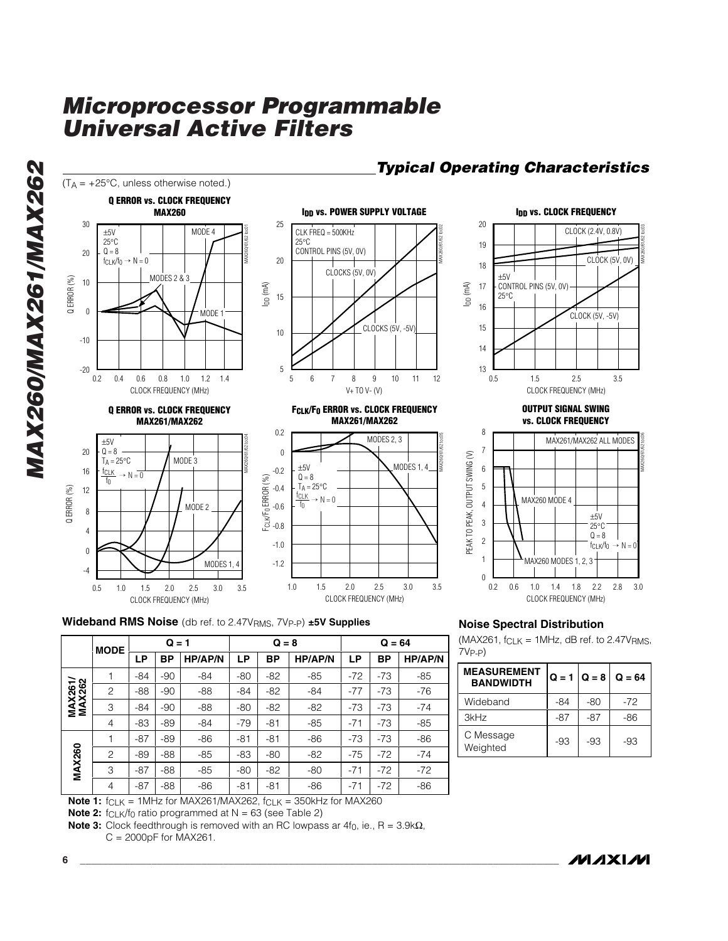

### *Typical Operating Characteristics*

**IDD VS. CLOCK FREQUENCY**<br>CLOCK (2.4V, 0.8V)<br>CONTROL PINS (5V, 0V)<br>25 °C<br>CLOCK (5V, -5V)<br>D.5 1.5 2.5 3.5 MAX260/61/62 toc03 CLOCK FREQUENCY (MHz) CLOCK (2.4V, 0.8V) CLOCK (5V, 0V) CONTROL PINS (5V, 0V) CLOCK (5V, -5V) **OUTPUT SIGNAL SWING**

**vs. CLOCK FREQUENCY**



**Wideband RMS Noise** (db ref. to 2.47VRMS, 7VP-P ) **±5V Supplies**

0.5 1.5 1.0 2.0 2.5 3.0 3.5

CLOCK FREQUENCY (MHz)

|                          | <b>MODE</b>    | $Q = 1$ |       |                |       | $Q = 8$ |                |           | $Q = 64$ |                |  |
|--------------------------|----------------|---------|-------|----------------|-------|---------|----------------|-----------|----------|----------------|--|
|                          |                | LР      | ВP    | <b>HP/AP/N</b> | LР    | BP      | <b>HP/AP/N</b> | <b>LP</b> | BP       | <b>HP/AP/N</b> |  |
|                          |                | $-84$   | $-90$ | $-84$          | $-80$ | $-82$   | $-85$          | $-72$     | $-73$    | $-85$          |  |
|                          | $\overline{c}$ | $-88$   | $-90$ | $-88$          | $-84$ | $-82$   | $-84$          | $-77$     | $-73$    | $-76$          |  |
| <b>MAX261/</b><br>MAX262 | 3              | $-84$   | $-90$ | $-88$          | $-80$ | $-82$   | $-82$          | $-73$     | $-73$    | $-74$          |  |
|                          | 4              | $-83$   | $-89$ | $-84$          | $-79$ | $-81$   | $-85$          | $-71$     | $-73$    | $-85$          |  |
|                          | 1              | $-87$   | $-89$ | $-86$          | $-81$ | $-81$   | $-86$          | $-73$     | $-73$    | $-86$          |  |
| <b>MAX260</b>            | $\overline{c}$ | $-89$   | $-88$ | $-85$          | $-83$ | $-80$   | $-82$          | $-75$     | $-72$    | $-74$          |  |
|                          | 3              | $-87$   | $-88$ | $-85$          | $-80$ | $-82$   | $-80$          | $-71$     | $-72$    | $-72$          |  |
|                          | 4              | $-87$   | $-88$ | $-86$          | $-81$ | $-81$   | $-86$          | $-71$     | $-72$    | $-86$          |  |

CLOCK FREQUENCY (MHz)

**Note 1:** f<sub>CLK</sub> = 1MHz for MAX261/MAX262, f<sub>CLK</sub> = 350kHz for MAX260

**Note 2:** f<sub>CLK</sub>/f<sub>0</sub> ratio programmed at N = 63 (see Table 2)

**Note 3:** Clock feedthrough is removed with an RC lowpass ar 4f<sub>0</sub>, ie., R = 3.9kΩ,  $C = 2000pF$  for MAX261.

#### **Noise Spectral Distribution**

(MAX261, fCLK = 1MHz, dB ref. to 2.47VRMS , 7VP-P )

| <b>MEASUREMENT</b><br><b>RANDWIDTH</b> | $Q = 1$ $Q = 8$ |       | $Q = 64$ |
|----------------------------------------|-----------------|-------|----------|
| Wideband                               | $-84$           | -80   | -72      |
| 3kHz                                   | -87             | $-87$ | -86      |
| C Message<br>Weighted                  | -93             | -93   | -93      |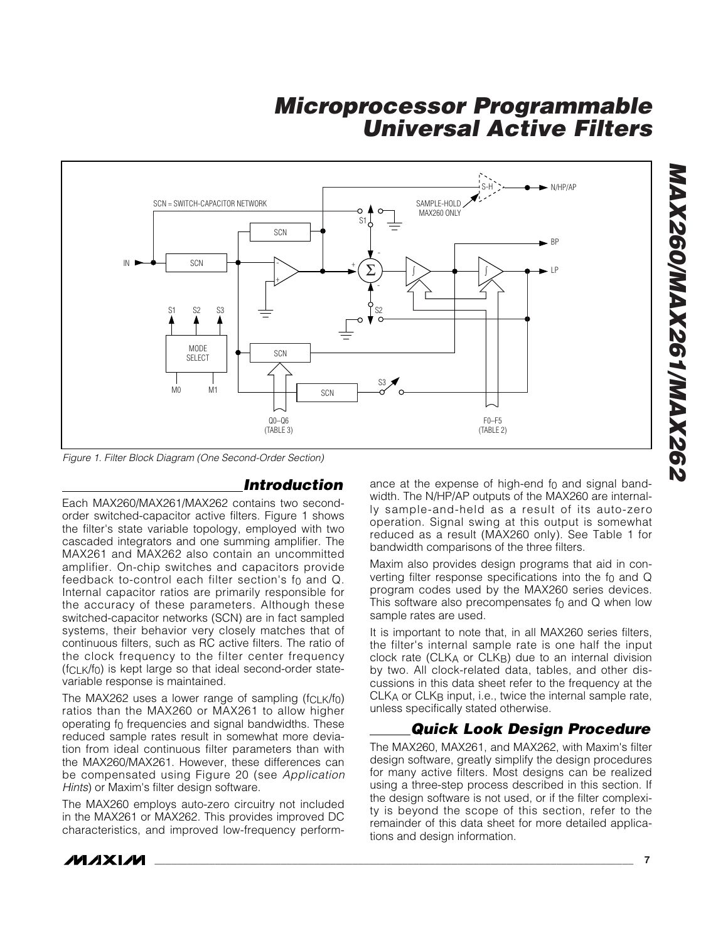

*Figure 1. Filter Block Diagram (One Second-Order Section)*

#### *Introduction*

Each MAX260/MAX261/MAX262 contains two secondorder switched-capacitor active filters. Figure 1 shows the filter's state variable topology, employed with two cascaded integrators and one summing amplifier. The MAX261 and MAX262 also contain an uncommitted amplifier. On-chip switches and capacitors provide feedback to-control each filter section's f 0 and Q. Internal capacitor ratios are primarily responsible for the accuracy of these parameters. Although these switched-capacitor networks (SCN) are in fact sampled systems, their behavior very closely matches that of continuous filters, such as RC active filters. The ratio of the clock frequency to the filter center frequency (fCLK/f 0) is kept large so that ideal second-order statevariable response is maintained.

The MAX262 uses a lower range of sampling (f $_{\mathsf{CLK}}$ /f $_{\mathsf{0}}$ ) ratios than the MAX260 or MAX261 to allow higher operating f 0 frequencies and signal bandwidths. These reduced sample rates result in somewhat more deviation from ideal continuous filter parameters than with the MAX260/MAX261. However, these differences can be compensated using Figure 20 (see *Application Hints*) or Maxim's filter design software.

The MAX260 employs auto-zero circuitry not included in the MAX261 or MAX262. This provides improved DC characteristics, and improved low-frequency perform-

ance at the expense of high-end f 0 and signal bandwidth. The N/HP/AP outputs of the MAX260 are internally sample-and-held as a result of its auto-zero operation. Signal swing at this output is somewhat reduced as a result (MAX260 only). See Table 1 for bandwidth comparisons of the three filters.

Maxim also provides design programs that aid in converting filter response specifications into the  $f_0$  and  $Q$ program codes used by the MAX260 series devices. This software also precompensates f 0 and Q when low sample rates are used.

It is important to note that, in all MAX260 series filters, the filter's internal sample rate is one half the input clock rate (CLK A or CLK B) due to an internal division by two. All clock-related data, tables, and other discussions in this data sheet refer to the frequency at the CLK A or CLK B input, i.e., twice the internal sample rate, unless specifically stated otherwise.

### *Quick Look Design Procedure*

The MAX260, MAX261, and MAX262, with Maxim's filter design software, greatly simplify the design procedures for many active filters. Most designs can be realized using a three-step process described in this section. If the design software is not used, or if the filter complexity is beyond the scope of this section, refer to the remainder of this data sheet for more detailed applications and design information.

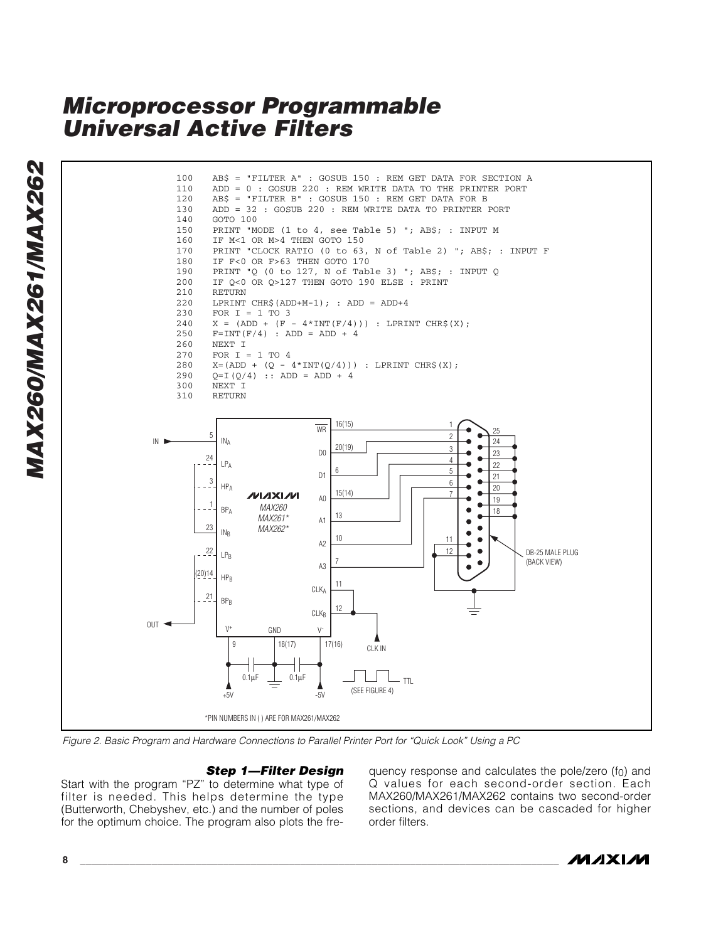

*Step 1—Filter Design*

Start with the program "PZ " to determine what type of filter is needed. This helps determine the type (Butterworth, Chebyshev, etc.) and the number of poles for the optimum choice. The program also plots the fre-

quency response and calculates the pole/zero (f 0) and Q values for each second-order section. Each MAX260/MAX261/MAX262 contains two second-order sections, and devices can be cascaded for higher order filters.

$$
1011 \times 100
$$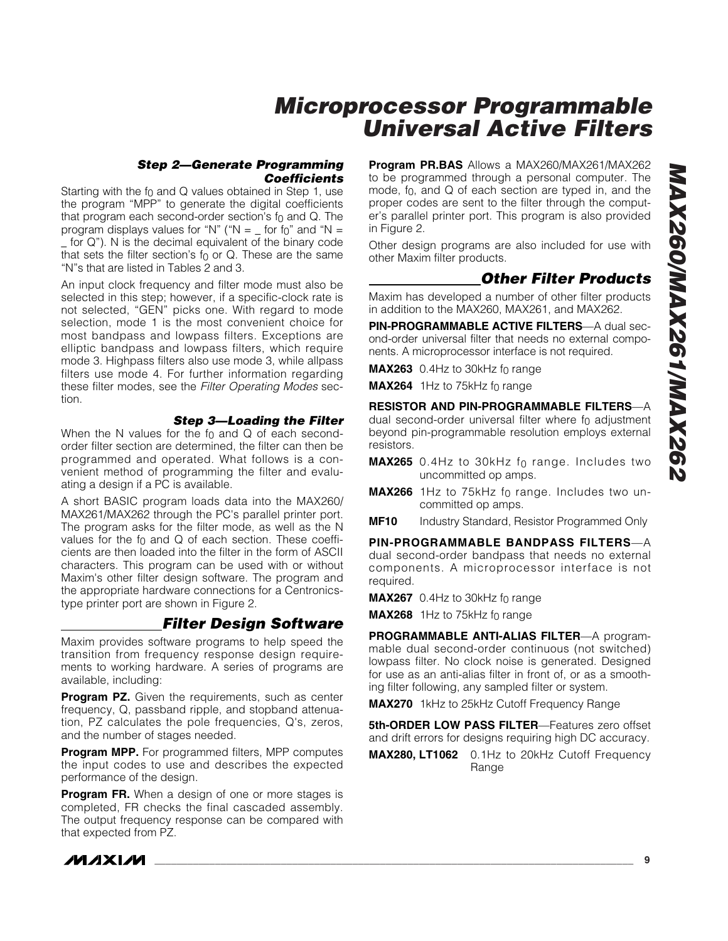#### *Step 2—Generate Programming Coefficients*

Starting with the f 0 and Q values obtained in Step 1, use the program "MPP " to generate the digital coefficients that program each second-order section's f 0 and Q. The program displays values for "N" (" $N =$  for f $_0$ " and " $N =$ \_ for Q "). N is the decimal equivalent of the binary code that sets the filter section 's f 0 or Q. These are the same " N "s that are listed in Tables 2 and 3.

An input clock frequency and filter mode must also be selected in this step; however, if a specific-clock rate is not selected, "GEN " picks one. With regard to mode selection, mode 1 is the most convenient choice for most bandpass and lowpass filters. Exceptions are elliptic bandpass and lowpass filters, which require mode 3. Highpass filters also use mode 3, while allpass filters use mode 4. For further information regarding these filter modes, see the *Filter Operating Modes* section.

#### *Step 3—Loading the Filter*

When the N values for the f 0 and Q of each secondorder filter section are determined, the filter can then be programmed and operated. What follows is a convenient method of programming the filter and evaluating a design if a PC is available.

A short BASIC program loads data into the MAX260/ MAX261/MAX262 through the PC's parallel printer port. The program asks for the filter mode, as well as the N values for the f 0 and Q of each section. These coefficients are then loaded into the filter in the form of ASCII characters. This program can be used with or without Maxim's other filter design software. The program and the appropriate hardware connections for a Centronicstype printer port are shown in Figure 2.

#### *Filter Design Software*

Maxim provides software programs to help speed the transition from frequency response design requirements to working hardware. A series of programs are available, including:

**Program PZ.** Given the requirements, such as center frequency, Q, passband ripple, and stopband attenuation, PZ calculates the pole frequencies, Q's, zeros, and the number of stages needed.

**Program MPP.** For programmed filters, MPP computes the input codes to use and describes the expected performance of the design.

**Program FR.** When a design of one or more stages is completed, FR checks the final cascaded assembly. The output frequency response can be compared with that expected from PZ.

**Program PR.BAS** Allows a MAX260/MAX261/MAX262 to be programmed through a personal computer. The mode, f 0, and Q of each section are typed in, and the proper codes are sent to the filter through the computer's parallel printer port. This program is also provided in Figure 2.

Other design programs are also included for use with other Maxim filter products.

### *Other Filter Products*

Maxim has developed a number of other filter products in addition to the MAX260, MAX261, and MAX262.

**PIN-PROGRAMMABLE ACTIVE FILTERS** —A dual second-order universal filter that needs no external components. A microprocessor interface is not required.

**MAX263** 0.4Hz to 30kHz f<sub>0</sub> range

**MAX264** 1Hz to 75kHz f<sub>0</sub> range

**RESISTOR AND PIN-PROGRAMMABLE FILTERS** — A dual second-order universal filter where f 0 adjustment beyond pin-programmable resolution employs external resistors.

- **MAX265** 0.4Hz to 30kHz f<sub>0</sub> range. Includes two uncommitted op amps.
- **MAX266** 1Hz to 75kHz f 0 range. Includes two uncommitted op amps.
- **MF10** Industry Standard, Resistor Programmed Only

**PIN-PROGRAMMABLE BANDPASS FILTERS** — A dual second-order bandpass that needs no external components. A microprocessor interface is not required.

**MAX267** 0.4Hz to 30kHz f<sub>0</sub> range

**MAX268** 1Hz to 75kHz f<sub>0</sub> range

**PROGRAMMABLE ANTI-ALIAS FILTER—A program**mable dual second-order continuous (not switched) lowpass filter. No clock noise is generated. Designed for use as an anti-alias filter in front of, or as a smoothing filter following, any sampled filter or system.

**MAX270** 1kHz to 25kHz Cutoff Frequency Range

**5th-ORDER LOW PASS FILTER** —Features zero offset and drift errors for designs requiring high DC accuracy.

**MAX280, LT1062** 0.1Hz to 20kHz Cutoff Frequency Range



**\_\_\_\_\_\_\_\_\_\_\_\_\_\_\_\_\_\_\_\_\_\_\_\_\_\_\_\_\_\_\_\_\_\_\_\_\_\_\_\_\_\_\_\_\_\_\_\_\_\_\_\_\_\_\_\_\_\_\_\_\_\_\_\_\_\_\_\_\_\_\_\_\_\_\_\_\_\_\_\_\_\_\_\_\_\_\_ 9**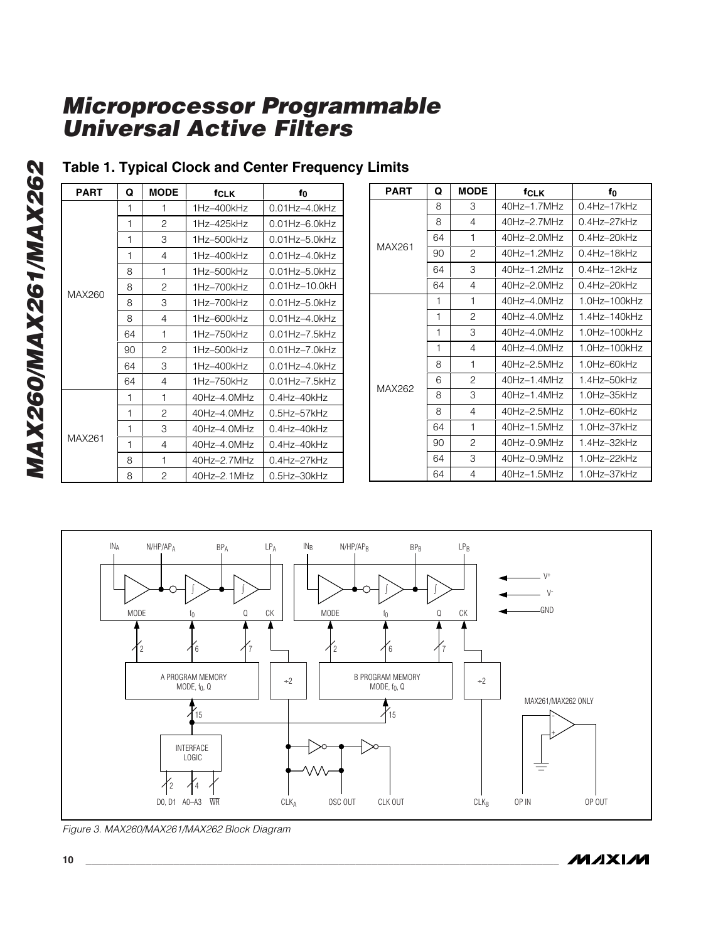| <b>PART</b> | Q  | <b>MODE</b>    | <b>f</b> CLK    | f0                                        |   |
|-------------|----|----------------|-----------------|-------------------------------------------|---|
|             | 1  | 1              | $1Hz - 400kHz$  | $0.01Hz - 4.0kHz$                         |   |
|             | 1  | 2              | 1Hz-425kHz      | $0.01H$ z $-6.0H$ z                       |   |
|             | 1  | 3              | 1Hz-500kHz      | $0.01Hz - 5.0kHz$                         | M |
|             | 1  | $\overline{4}$ | $1Hz - 400kHz$  | $0.01H$ <sub>7</sub> $-4.0H$ <sub>7</sub> |   |
|             | 8  | 1              | $1Hz - 500kHz$  | $0.01Hz - 5.0kHz$                         |   |
| MAX260      | 8  | $\overline{2}$ | $1Hz-700kHz$    | $0.01Hz - 10.0kH$                         |   |
|             | 8  | 3              | $1Hz-700kHz$    | $0.01$ Hz $-5.0$ kHz                      |   |
|             | 8  | 4              | $1Hz-600kHz$    | $0.01Hz - 4.0kHz$                         |   |
|             | 64 | 1              | $1Hz - 750kHz$  | $0.01Hz - 7.5kHz$                         |   |
|             | 90 | $\mathcal{P}$  | $1Hz - 500kHz$  | $0.01Hz - 7.0kHz$                         |   |
|             | 64 | 3              | $1Hz - 400kHz$  | $0.01Hz - 4.0kHz$                         |   |
|             | 64 | 4              | $1Hz - 750kHz$  | $0.01Hz - 7.5kHz$                         | M |
|             | 1  | 1              | $40Hz - 4.0MHz$ | $0.4$ Hz $-40$ kHz                        |   |
|             | 1  | 2              | 40Hz-4.0MHz     | $0.5$ Hz- $57$ kHz                        |   |
|             | 1  | 3              | 40Hz-4.0MHz     | $0.4$ Hz $-40$ kHz                        |   |
| MAX261      | 1  | 4              | 40Hz-4.0MHz     | $0.4$ Hz $-40$ kHz                        |   |
|             | 8  | 1              | 40Hz-2.7MHz     | $0.4$ Hz-27kHz                            |   |
|             | 8  | 2              | 40Hz-2.1MHz     | 0.5Hz-30kHz                               |   |

### **Table 1. Typical Clock and Center Frequency Limits**

| <b>PART</b> | Q  | <b>MODE</b>    | <b>fCLK</b>     | f0                 |
|-------------|----|----------------|-----------------|--------------------|
|             | 8  | 3              | 40Hz-1.7MHz     | $0.4$ Hz $-17$ kHz |
|             | 8  | 4              | 40Hz-2.7MHz     | 0.4Hz-27kHz        |
|             | 64 | 1              | 40Hz-2.0MHz     | 0.4Hz-20kHz        |
| MAX261      | 90 | $\overline{c}$ | 40Hz-1.2MHz     | 0.4Hz-18kHz        |
|             | 64 | 3              | 40Hz-1.2MHz     | $0.4$ Hz $-12$ kHz |
|             | 64 | 4              | 40Hz-2.0MHz     | 0.4Hz-20kHz        |
|             | 1  | 1              | $40Hz - 4.0MHz$ | 1.0Hz-100kHz       |
|             | 1  | 2              | 40Hz-4.0MHz     | 1.4Hz-140kHz       |
|             | 1  | 3              | 40Hz-4.0MHz     | 1.0Hz-100kHz       |
|             | 1  | 4              | 40Hz-4.0MHz     | 1.0Hz-100kHz       |
|             | 8  | 1              | 40Hz-2.5MHz     | 1.0Hz-60kHz        |
|             | 6  | $\overline{c}$ | 40Hz-1.4MHz     | 1.4Hz-50kHz        |
| MAX262      | 8  | З              | 40Hz-1.4MHz     | 1.0Hz-35kHz        |
|             | 8  | 4              | 40Hz-2.5MHz     | 1.0Hz-60kHz        |
|             | 64 | 1              | 40Hz-1.5MHz     | 1.0Hz-37kHz        |
|             | 90 | $\overline{c}$ | 40Hz-0.9MHz     | 1.4Hz-32kHz        |
|             | 64 | 3              | $40Hz - 0.9MHz$ | 1.0Hz-22kHz        |
|             | 64 | 4              | 40Hz-1.5MHz     | 1.0Hz-37kHz        |



*Figure 3. MAX260/MAX261/MAX262 Block Diagram*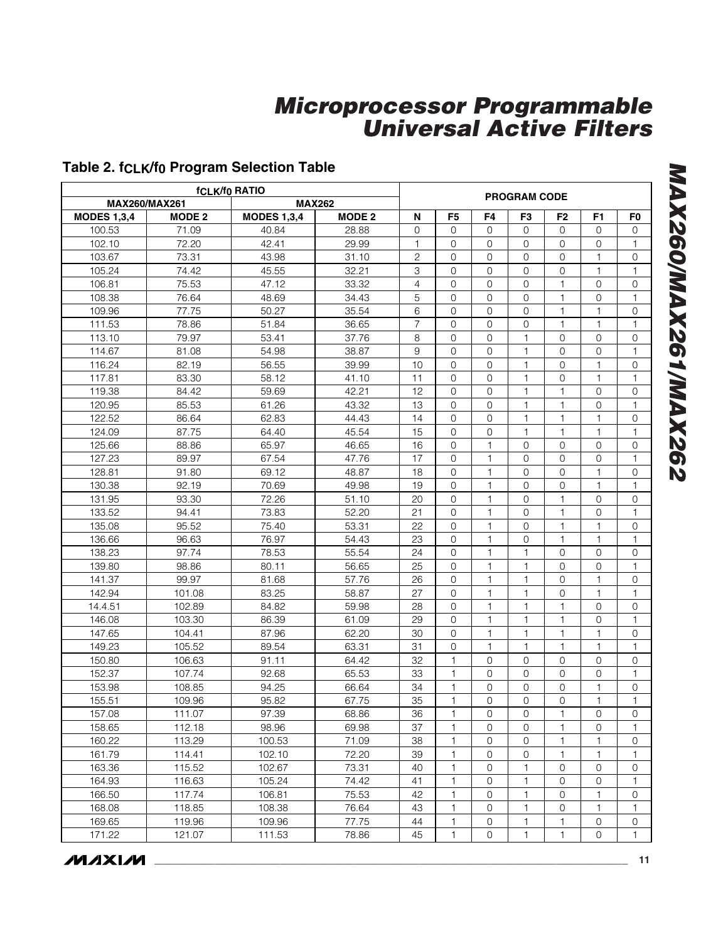### **Table 2. fCLK/f 0 Program Selection Table**

| <b>MAX260/MAX261</b> |               | <b>MAX262</b>      |               |                |                |                | <b>PROGRAM CODE</b> |                |                     |                     |
|----------------------|---------------|--------------------|---------------|----------------|----------------|----------------|---------------------|----------------|---------------------|---------------------|
| <b>MODES 1,3,4</b>   | <b>MODE 2</b> | <b>MODES 1,3,4</b> | <b>MODE 2</b> | N              | F <sub>5</sub> | F4             | F3                  | F <sub>2</sub> | F <sub>1</sub>      | F <sub>0</sub>      |
| 100.53               | 71.09         | 40.84              | 28.88         | $\Omega$       | $\Omega$       | $\Omega$       | $\Omega$            | $\Omega$       | $\mathbf{O}$        | $\Omega$            |
| 102.10               | 72.20         | 42.41              | 29.99         | 1              | $\Omega$       | 0              | $\Omega$            | $\overline{0}$ | $\mathbf 0$         | 1                   |
| 103.67               | 73.31         | 43.98              | 31.10         | $\overline{c}$ | $\Omega$       | 0              | $\mathbf{O}$        | $\Omega$       | 1                   | $\mathbf{O}$        |
| 105.24               | 74.42         | 45.55              | 32.21         | 3              | $\Omega$       | 0              | $\overline{0}$      | 0              | $\mathbf{1}$        | 1                   |
| 106.81               | 75.53         | 47.12              | 33.32         | 4              | 0              | 0              | $\mathbf{O}$        | $\mathbf{1}$   | $\mathbf{0}$        | $\mathbf{O}$        |
| 108.38               | 76.64         | 48.69              | 34.43         | 5              | $\Omega$       | 0              | $\mathbf{0}$        | $\mathbf{1}$   | $\mathbf{O}$        | 1                   |
| 109.96               | 77.75         | 50.27              | 35.54         | 6              | 0              | 0              | 0                   | 1              | 1                   | 0                   |
| 111.53               | 78.86         | 51.84              | 36.65         | 7              | $\Omega$       | 0              | $\mathbf{0}$        | $\mathbf{1}$   | 1                   | 1                   |
| 113.10               | 79.97         | 53.41              | 37.76         | 8              | 0              | 0              | 1                   | 0              | $\mathbf 0$         | $\mathbf{O}$        |
| 114.67               | 81.08         | 54.98              | 38.87         | 9              | $\Omega$       | $\mathbf{O}$   | $\mathbf{1}$        | $\Omega$       | $\overline{0}$      | $\mathbf{1}$        |
| 116.24               | 82.19         | 56.55              | 39.99         | 10             | $\overline{0}$ | $\overline{0}$ | $\mathbf{1}$        | 0              | 1                   | $\mathbf{O}$        |
| 117.81               | 83.30         | 58.12              | 41.10         | 11             | $\Omega$       | $\Omega$       | $\mathbf{1}$        | $\overline{0}$ | $\mathbf{1}$        | $\mathbf{1}$        |
| 119.38               | 84.42         | 59.69              | 42.21         | 12             | $\overline{0}$ | 0              | $\mathbf{1}$        | $\mathbf{1}$   | $\overline{0}$      | $\mathbf{O}$        |
| 120.95               | 85.53         | 61.26              | 43.32         | 13             | $\Omega$       | 0              | $\mathbf{1}$        | $\mathbf{1}$   | $\overline{0}$      | $\mathbf{1}$        |
| 122.52               | 86.64         | 62.83              | 44.43         | 14             | $\overline{0}$ | 0              | $\mathbf{1}$        | $\mathbf{1}$   | $\mathbf{1}$        | $\mathbf{O}$        |
| 124.09               | 87.75         | 64.40              | 45.54         | 15             | $\Omega$       | 0              | $\mathbf{1}$        | 1              | 1                   | 1                   |
| 125.66               | 88.86         | 65.97              | 46.65         | 16             | $\Omega$       | 1              | $\mathbf 0$         | 0              | 0                   | 0                   |
| 127.23               | 89.97         | 67.54              | 47.76         | 17             | 0              | 1              | $\mathbf 0$         | 0              | $\mathbf{0}$        | $\mathbf{1}$        |
| 128.81               | 91.80         | 69.12              | 48.87         | 18             | $\Omega$       | 1              | $\Omega$            | 0              | $\mathbf{1}$        | $\mathbf{O}$        |
| 130.38               | 92.19         | 70.69              | 49.98         | 19             | 0              | 1              | $\mathbf{O}$        | 0              | 1                   | 1                   |
| 131.95               | 93.30         | 72.26              | 51.10         | 20             | $\Omega$       | 1              | $\Omega$            | $\mathbf{1}$   | $\overline{0}$      | $\mathbf 0$         |
| 133.52               | 94.41         | 73.83              | 52.20         | 21             | 0              | 1              | $\mathbf{O}$        | 1              | $\mathbf{0}$        | 1                   |
| 135.08               | 95.52         | 75.40              | 53.31         | 22             | $\Omega$       | $\mathbf{1}$   | $\mathbf 0$         | $\mathbf{1}$   | $\mathbf{1}$        | $\mathbf 0$         |
| 136.66               | 96.63         | 76.97              | 54.43         | 23             | $\overline{0}$ | $\mathbf{1}$   | 0                   | $\mathbf{1}$   | 1                   | 1                   |
| 138.23               | 97.74         | 78.53              | 55.54         | 24             | $\Omega$       | 1              | $\mathbf{1}$        | 0              | 0                   | 0                   |
| 139.80               | 98.86         | 80.11              | 56.65         | 25             | 0              | 1              | 1                   | 0              | $\overline{0}$      | 1                   |
| 141.37               | 99.97         | 81.68              | 57.76         | 26             | $\mathbf 0$    | 1              | $\mathbf{1}$        | $\overline{0}$ | $\mathbf{1}$        | $\mathbf{O}$        |
| 142.94               | 101.08        | 83.25              | 58.87         | 27             | $\overline{0}$ | 1              | $\mathbf{1}$        | 0              | $\mathbf{1}$        | $\mathbf{1}$        |
| 14.4.51              | 102.89        | 84.82              | 59.98         | 28             | $\overline{0}$ | 1              | $\mathbf{1}$        | 1              | 0                   | 0                   |
| 146.08               | 103.30        | 86.39              | 61.09         | 29             | $\Omega$       | 1              | $\mathbf{1}$        | $\mathbf{1}$   | $\overline{0}$      | $\mathbf{1}$        |
| 147.65               | 104.41        | 87.96              | 62.20         | 30             | 0              | 1              | $\mathbf{1}$        | 1              | 1                   | $\mathbf{O}$        |
| 149.23               | 105.52        | 89.54              | 63.31         | 31             | $\Omega$       | $\mathbf{1}$   | $\mathbf{1}$        | $\mathbf{1}$   | $\mathbf{1}$        | 1                   |
| 150.80               | 106.63        | 91.11              | 64.42         | 32             | 1              | 0              | 0                   | 0              | 0                   | 0                   |
| 152.37               | 107.74        | 92.68              | 65.53         | 33             | $\mathbf{1}$   | $\mathbf{O}$   | $\mathbf 0$         | $\Omega$       | $\mathbf 0$         | 1                   |
| 153.98               | 108.85        | 94.25              | 66.64         | 34             | 1              | 0              | $\mathbf{O}$        | $\Omega$       | 1                   | $\mathbf{O}$        |
| 155.51               | 109.96        | 95.82              | 67.75         | 35             | $\mathbf{1}$   | 0              | $\mathbf 0$         | 0              | 1                   | 1                   |
| 157.08               | 111.07        | 97.39              | 68.86         | 36             | $\mathbf{1}$   | $\mathsf O$    | $\mathsf{O}\xspace$ | $\mathbf{1}$   | 0                   | $\mathsf{O}\xspace$ |
| 158.65               | 112.18        | 98.96              | 69.98         | 37             | $\mathbf{1}$   | 0              | 0                   | $\mathbf{1}$   | 0                   | 1                   |
| 160.22               | 113.29        | 100.53             | 71.09         | 38             | $\mathbf{1}$   | 0              | 0                   | $\mathbf{1}$   | 1                   | 0                   |
| 161.79               | 114.41        | 102.10             | 72.20         | 39             | $\mathbf{1}$   | 0              | 0                   | 1              | 1                   | 1                   |
| 163.36               | 115.52        | 102.67             | 73.31         | 40             | 1              | 0              | 1                   | 0              | 0                   | 0                   |
| 164.93               | 116.63        | 105.24             | 74.42         | 41             | 1              | 0              | 1                   | 0              | 0                   | 1                   |
| 166.50               | 117.74        | 106.81             | 75.53         | 42             | 1              | 0              | 1                   | 0              | 1                   | 0                   |
| 168.08               | 118.85        | 108.38             | 76.64         | 43             | 1              | 0              | 1                   | 0              | 1                   | 1                   |
| 169.65               | 119.96        | 109.96             | 77.75         | 44             | 1              | 0              | 1                   | 1              | $\mathsf{O}\xspace$ | 0                   |
| 171.22               | 121.07        | 111.53             | 78.86         | 45             | 1              | 0              | 1                   | 1              | $\mathbf 0$         | 1                   |
| <b>MAXIM</b>         |               |                    |               |                |                |                |                     |                |                     | 11                  |

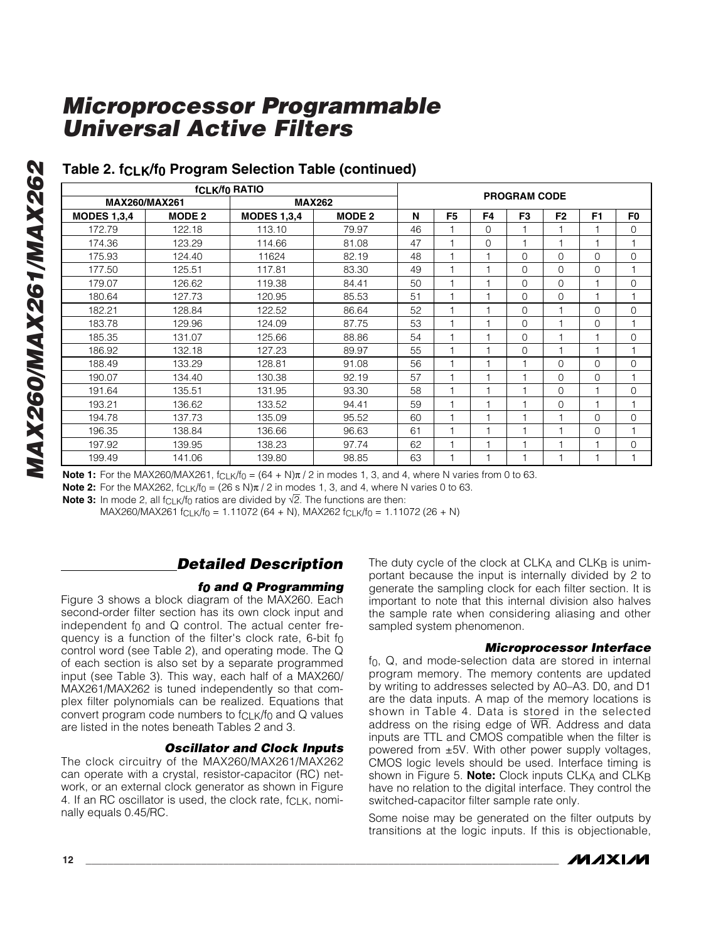|                      | <b>PROGRAM CODE</b> |                    |               |    |                |          |          |                |                |                |
|----------------------|---------------------|--------------------|---------------|----|----------------|----------|----------|----------------|----------------|----------------|
| <b>MAX260/MAX261</b> |                     | <b>MAX262</b>      |               |    |                |          |          |                |                |                |
| <b>MODES 1,3,4</b>   | <b>MODE 2</b>       | <b>MODES 1,3,4</b> | <b>MODE 2</b> | N  | F <sub>5</sub> | F4       | F3       | F <sub>2</sub> | F <sub>1</sub> | F <sub>0</sub> |
| 172.79               | 122.18              | 113.10             | 79.97         | 46 |                | $\Omega$ |          |                |                | 0              |
| 174.36               | 123.29              | 114.66             | 81.08         | 47 |                | $\Omega$ |          |                | 1              |                |
| 175.93               | 124.40              | 11624              | 82.19         | 48 |                |          | $\Omega$ | 0              | $\Omega$       | 0              |
| 177.50               | 125.51              | 117.81             | 83.30         | 49 |                |          | $\Omega$ | 0              | $\Omega$       |                |
| 179.07               | 126.62              | 119.38             | 84.41         | 50 |                |          | $\Omega$ | $\Omega$       | 1              | $\mathbf{O}$   |
| 180.64               | 127.73              | 120.95             | 85.53         | 51 |                |          | $\Omega$ | $\Omega$       | $\overline{1}$ | 1              |
| 182.21               | 128.84              | 122.52             | 86.64         | 52 |                |          | $\Omega$ |                | $\Omega$       | $\mathbf{O}$   |
| 183.78               | 129.96              | 124.09             | 87.75         | 53 |                |          | $\Omega$ |                | $\Omega$       |                |
| 185.35               | 131.07              | 125.66             | 88.86         | 54 |                |          | $\Omega$ | ٠              | 1              | $\mathbf 0$    |
| 186.92               | 132.18              | 127.23             | 89.97         | 55 |                |          | $\Omega$ |                | $\overline{1}$ | 1              |
| 188.49               | 133.29              | 128.81             | 91.08         | 56 |                |          |          | $\Omega$       | $\Omega$       | $\mathbf 0$    |
| 190.07               | 134.40              | 130.38             | 92.19         | 57 |                |          |          | $\Omega$       | $\Omega$       |                |
| 191.64               | 135.51              | 131.95             | 93.30         | 58 |                |          |          | $\Omega$       | H              | $\mathbf 0$    |
| 193.21               | 136.62              | 133.52             | 94.41         | 59 |                |          |          | $\Omega$       | $\overline{1}$ | 1              |
| 194.78               | 137.73              | 135.09             | 95.52         | 60 |                |          |          |                | $\Omega$       | $\mathbf 0$    |
| 196.35               | 138.84              | 136.66             | 96.63         | 61 |                |          |          |                | 0              |                |
| 197.92               | 139.95              | 138.23             | 97.74         | 62 |                |          |          | ٠              | 1              | 0              |
| 199.49               | 141.06              | 139.80             | 98.85         | 63 |                |          |          |                | 1              |                |

### **Table 2. fCLK/f 0 Program Selection Table (continued)**

**Note 1:** For the MAX260/MAX261, f<sub>CLK</sub>/f<sub>0</sub> = (64 + N)π / 2 in modes 1, 3, and 4, where N varies from 0 to 63.

**Note 2:** For the MAX262, f<sub>CLK</sub>/f<sub>0</sub> = (26 s N)π / 2 in modes 1, 3, and 4, where N varies 0 to 63.

**Note 3:** In mode 2, all f<sub>CLK</sub>/f<sub>0</sub> ratios are divided by √2. The functions are then:

MAX260/MAX261 fclk/fo = 1.11072 (64 + N), MAX262 fclk/fo = 1.11072 (26 + N)

### *Detailed Description*

#### *f0 and Q Programming*

Figure 3 shows a block diagram of the MAX260. Each second-order filter section has its own clock input and independent f 0 and Q control. The actual center frequency is a function of the filter's clock rate, 6-bit f0 control word (see Table 2), and operating mode. The Q of each section is also set by a separate programmed input (see Table 3). This way, each half of a MAX260/ MAX261/MAX262 is tuned independently so that complex filter polynomials can be realized. Equations that convert program code numbers to fCLK/f 0 and Q values are listed in the notes beneath Tables 2 and 3.

#### *Oscillator and Clock Inputs*

The clock circuitry of the MAX260/MAX261/MAX262 can operate with a crystal, resistor-capacitor (RC) network, or an external clock generator as shown in Figure 4. If an RC oscillator is used, the clock rate, f<sub>CLK</sub>, nominally equals 0.45/RC.

The duty cycle of the clock at CLK A and CLK B is unimportant because the input is internally divided by 2 to generate the sampling clock for each filter section. It is important to note that this internal division also halves the sample rate when considering aliasing and other sampled system phenomenon.

#### *Microprocessor Interface*

f 0, Q, and mode-selection data are stored in internal program memory. The memory contents are updated by writing to addresses selected by A0 –A3. D0, and D1 are the data inputs. A map of the memory locations is shown in Table 4. Data is stored in the selected address on the rising edge of  $\overline{WR}$ . Address and data inputs are TTL and CMOS compatible when the filter is powered from ±5V. With other power supply voltages, CMOS logic levels should be used. Interface timing is shown in Figure 5. **Note:** Clock inputs CLK A and CLK B have no relation to the digital interface. They control the switched-capacitor filter sample rate only.

Some noise may be generated on the filter outputs by transitions at the logic inputs. If this is objectionable,

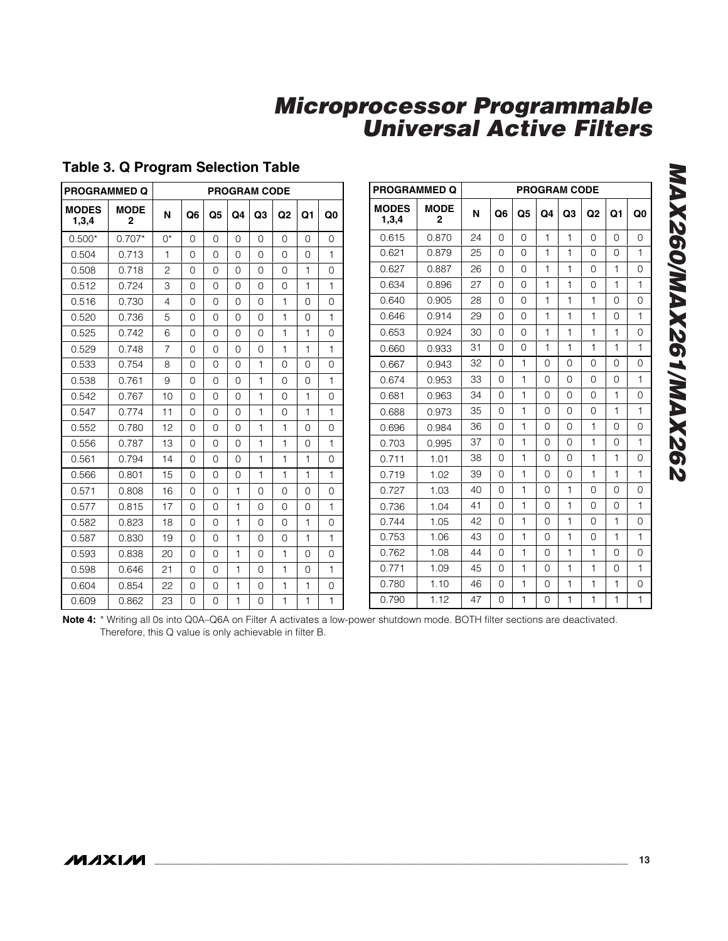| <b>PROGRAMMED Q</b>   |                             |                |          | <b>PROGRAM CODE</b> |          |          |                |              |              |  |  |  |  |  |
|-----------------------|-----------------------------|----------------|----------|---------------------|----------|----------|----------------|--------------|--------------|--|--|--|--|--|
| <b>MODES</b><br>1,3,4 | <b>MODE</b><br>$\mathbf{2}$ | N              | Q6       | Q5                  | Q4       | Q3       | Q <sub>2</sub> | Q1           | Q0           |  |  |  |  |  |
| $0.500*$              | $0.707*$                    | $0^*$          | $\Omega$ | $\Omega$            | $\Omega$ | $\Omega$ | 0              | 0            | 0            |  |  |  |  |  |
| 0.504                 | 0.713                       | 1              | $\Omega$ | $\Omega$            | $\Omega$ | $\Omega$ | $\Omega$       | 0            | $\mathbf{1}$ |  |  |  |  |  |
| 0.508                 | 0.718                       | 2              | 0        | 0                   | 0        | 0        | 0              | $\mathbf{1}$ | 0            |  |  |  |  |  |
| 0.512                 | 0.724                       | 3              | $\Omega$ | $\Omega$            | $\Omega$ | $\Omega$ | $\Omega$       | $\mathbf{1}$ | $\mathbf{1}$ |  |  |  |  |  |
| 0.516                 | 0.730                       | 4              | $\Omega$ | $\Omega$            | $\Omega$ | $\Omega$ | 1              | $\Omega$     | $\Omega$     |  |  |  |  |  |
| 0.520                 | 0.736                       | 5              | 0        | 0                   | 0        | 0        | 1              | 0            | 1            |  |  |  |  |  |
| 0.525                 | 0.742                       | 6              | $\Omega$ | $\Omega$            | $\Omega$ | $\Omega$ | 1              | $\mathbf{1}$ | 0            |  |  |  |  |  |
| 0.529                 | 0.748                       | $\overline{7}$ | $\Omega$ | 0                   | $\Omega$ | $\Omega$ | 1              | $\mathbf{1}$ | $\mathbf{1}$ |  |  |  |  |  |
| 0.533                 | 0.754                       | 8              | $\Omega$ | 0                   | 0        | 1        | 0              | 0            | 0            |  |  |  |  |  |
| 0.538                 | 0.761                       | 9              | $\Omega$ | $\Omega$            | $\Omega$ | 1        | 0              | 0            | $\mathbf{1}$ |  |  |  |  |  |
| 0.542                 | 0.767                       | 10             | $\Omega$ | $\Omega$            | $\Omega$ | 1        | 0              | $\mathbf{1}$ | 0            |  |  |  |  |  |
| 0.547                 | 0.774                       | 11             | $\Omega$ | $\Omega$            | $\Omega$ | 1        | 0              | 1            | $\mathbf{1}$ |  |  |  |  |  |
| 0.552                 | 0.780                       | 12             | $\Omega$ | 0                   | $\Omega$ | 1        | 1              | 0            | 0            |  |  |  |  |  |
| 0.556                 | 0.787                       | 13             | $\Omega$ | 0                   | $\Omega$ | 1        | $\mathbf{1}$   | 0            | $\mathbf{1}$ |  |  |  |  |  |
| 0.561                 | 0.794                       | 14             | $\Omega$ | $\Omega$            | $\Omega$ | 1        | 1              | $\mathbf{1}$ | 0            |  |  |  |  |  |
| 0.566                 | 0.801                       | 15             | $\Omega$ | $\Omega$            | $\Omega$ | 1        | $\mathbf{1}$   | $\mathbf{1}$ | $\mathbf{1}$ |  |  |  |  |  |
| 0.571                 | 0.808                       | 16             | $\Omega$ | $\Omega$            | 1        | $\Omega$ | 0              | 0            | 0            |  |  |  |  |  |
| 0.577                 | 0.815                       | 17             | $\Omega$ | $\Omega$            | 1        | $\Omega$ | $\Omega$       | 0            | $\mathbf{1}$ |  |  |  |  |  |
| 0.582                 | 0.823                       | 18             | $\Omega$ | 0                   | 1        | $\Omega$ | 0              | 1            | 0            |  |  |  |  |  |
| 0.587                 | 0.830                       | 19             | $\Omega$ | 0                   | 1        | 0        | 0              | $\mathbf{1}$ | $\mathbf{1}$ |  |  |  |  |  |
| 0.593                 | 0.838                       | 20             | 0        | 0                   | 1        | 0        | 1              | 0            | 0            |  |  |  |  |  |
| 0.598                 | 0.646                       | 21             | $\Omega$ | $\Omega$            | 1        | $\Omega$ | 1              | 0            | $\mathbf{1}$ |  |  |  |  |  |
| 0.604                 | 0.854                       | 22             | $\Omega$ | 0                   | 1        | 0        | 1              | 1            | 0            |  |  |  |  |  |
| 0.609                 | 0.862                       | 23             | 0        | 0                   | 1        | 0        | 1              | 1            | 1            |  |  |  |  |  |

### **Table 3. Q Program Selection Table**

| <b>PROGRAMMED Q</b>   |                  |    |                |                |                | <b>PROGRAM CODE</b> |                |              |                |
|-----------------------|------------------|----|----------------|----------------|----------------|---------------------|----------------|--------------|----------------|
| <b>MODES</b><br>1,3,4 | <b>MODE</b><br>2 | N  | Q <sub>6</sub> | Q <sub>5</sub> | Q <sub>4</sub> | Q3                  | Q <sub>2</sub> | Q1           | Q <sub>0</sub> |
| 0.615                 | 0.870            | 24 | $\Omega$       | $\Omega$       | $\mathbf{1}$   | $\mathbf{1}$        | $\Omega$       | $\Omega$     | $\Omega$       |
| 0.621                 | 0.879            | 25 | $\Omega$       | $\Omega$       | $\mathbf{1}$   | 1                   | $\Omega$       | $\Omega$     | $\mathbf{1}$   |
| 0.627                 | 0.887            | 26 | 0              | 0              | 1              | 1                   | $\Omega$       | 1            | $\overline{0}$ |
| 0.634                 | 0.896            | 27 | $\Omega$       | 0              | 1              | 1                   | $\Omega$       | 1            | $\mathbf{1}$   |
| 0.640                 | 0.905            | 28 | 0              | 0              | 1              | 1                   | $\mathbf{1}$   | 0            | 0              |
| 0.646                 | 0.914            | 29 | $\Omega$       | $\Omega$       | $\mathbf{1}$   | 1                   | $\mathbf{1}$   | $\Omega$     | $\mathbf{1}$   |
| 0.653                 | 0.924            | 30 | $\Omega$       | $\Omega$       | 1              | 1                   | $\mathbf{1}$   | 1            | $\Omega$       |
| 0.660                 | 0.933            | 31 | 0              | 0              | 1              | 1                   | $\mathbf{1}$   | $\mathbf{1}$ | $\mathbf{1}$   |
| 0.667                 | 0.943            | 32 | $\Omega$       | 1              | 0              | 0                   | $\Omega$       | $\Omega$     | $\Omega$       |
| 0.674                 | 0.953            | 33 | 0              | 1              | 0              | 0                   | $\Omega$       | $\Omega$     | $\mathbf{1}$   |
| 0.681                 | 0.963            | 34 | 0              | 1              | 0              | 0                   | $\Omega$       | 1            | 0              |
| 0.688                 | 0.973            | 35 | $\Omega$       | 1              | $\Omega$       | $\Omega$            | $\Omega$       | 1            | $\mathbf{1}$   |
| 0.696                 | 0.984            | 36 | $\Omega$       | 1              | $\Omega$       | $\Omega$            | $\mathbf{1}$   | $\Omega$     | $\Omega$       |
| 0.703                 | 0.995            | 37 | $\Omega$       | 1              | $\Omega$       | $\Omega$            | $\mathbf{1}$   | $\Omega$     | $\mathbf{1}$   |
| 0.711                 | 1.01             | 38 | 0              | 1              | 0              | 0                   | $\mathbf{1}$   | $\mathbf{1}$ | $\Omega$       |
| 0.719                 | 1.02             | 39 | 0              | 1              | 0              | 0                   | $\mathbf{1}$   | 1            | $\mathbf{1}$   |
| 0.727                 | 1.03             | 40 | 0              | 1              | 0              | 1                   | $\Omega$       | $\Omega$     | $\overline{0}$ |
| 0.736                 | 1.04             | 41 | 0              | 1              | 0              | 1                   | 0              | 0            | $\mathbf{1}$   |
| 0.744                 | 1.05             | 42 | 0              | $\mathbf{1}$   | 0              | $\mathbf{1}$        | $\Omega$       | $\mathbf{1}$ | 0              |
| 0.753                 | 1.06             | 43 | $\Omega$       | $\mathbf{1}$   | $\Omega$       | 1                   | $\Omega$       | 1            | $\mathbf{1}$   |
| 0.762                 | 1.08             | 44 | $\Omega$       | 1              | $\Omega$       | 1                   | $\mathbf{1}$   | $\Omega$     | $\Omega$       |
| 0.771                 | 1.09             | 45 | $\Omega$       | $\mathbf{1}$   | $\Omega$       | 1                   | $\mathbf{1}$   | $\Omega$     | $\mathbf{1}$   |
| 0.780                 | 1.10             | 46 | 0              | 1              | 0              | 1                   | $\mathbf{1}$   | 1            | 0              |
| 0.790                 | 1.12             | 47 | 0              | 1              | 0              | 1                   | $\mathbf{1}$   | 1            | 1              |

**Note 4:** \* Writing all 0s into Q0A–Q6A on Filter A activates a low-power shutdown mode. BOTH filter sections are deactivated. Therefore, this Q value is only achievable in filter B.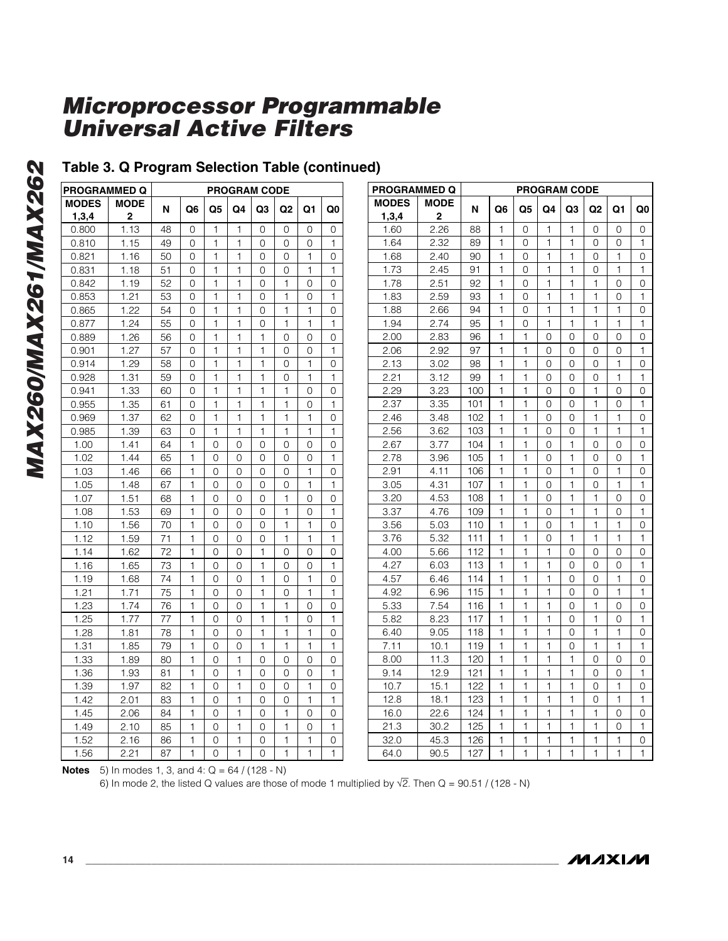### **Table 3. Q Program Selection Table (continued)**

| <b>PROGRAMMED Q</b> |                  | <b>PROGRAM CODE</b> |                |          |                |                |        |              |              |
|---------------------|------------------|---------------------|----------------|----------|----------------|----------------|--------|--------------|--------------|
| <b>MODES</b>        | <b>MODE</b><br>2 | N                   | Q6             | Q5       | Q4             | Q <sub>3</sub> | Q2     | Q1           | Q0           |
| 1,3,4<br>0.800      | 1.13             | 48                  | 0              | 1        | $\mathbf{1}$   | 0              | 0      | 0            | 0            |
| 0.810               | 1.15             | 49                  | 0              | 1        | 1              | 0              | 0      | 0            | 1            |
| 0.821               | 1.16             | 50                  | 0              | 1        | 1              | 0              | 0      | 1            | 0            |
| 0.831               | 1.18             | 51                  | 0              | 1        | $\mathbf{1}$   | 0              | 0      | 1            | $\mathbf{1}$ |
|                     |                  | 52                  |                | 1        | 1              | 0              |        |              |              |
| 0.842<br>0.853      | 1.19<br>1.21     | 53                  | 0<br>0         | 1        | 1              | 0              | 1<br>1 | 0<br>0       | 0<br>1       |
|                     |                  | 54                  | 0              | 1        | 1              | 0              | 1      | 1            | 0            |
| 0.865<br>0.877      | 1.22<br>1.24     | 55                  | 0              | 1        | $\mathbf{1}$   | 0              | 1      | 1            | $\mathbf{1}$ |
|                     |                  |                     |                | 1        | 1              | 1              |        |              |              |
| 0.889               | 1.26             | 56<br>57            | 0<br>0         | 1        | 1              | 1              | 0<br>0 | 0<br>0       | 0<br>1       |
| 0.901               | 1.27             |                     |                | 1        | 1              | 1              |        | 1            |              |
| 0.914               | 1.29             | 58                  | 0              |          |                |                | 0      |              | 0            |
| 0.928               | 1.31             | 59                  | 0              | 1        | 1              | 1              | 0      | 1            | 1            |
| 0.941               | 1.33             | 60                  | 0              | 1        | 1              | 1              | 1      | 0            | 0            |
| 0.955               | 1.35             | 61                  | 0              | 1<br>1   | 1<br>1         | 1<br>1         | 1      | 0<br>1       | 1            |
| 0.969               | 1.37             | 62                  | 0              |          |                |                | 1      |              | 0            |
| 0.985               | 1.39             | 63                  | 0              | 1        | 1              | 1              | 1      | 1            | 1            |
| 1.00                | 1.41             | 64                  | 1              | 0        | 0              | 0              | 0      | 0            | 0            |
| 1.02                | 1.44             | 65                  | 1              | 0        | $\Omega$       | $\Omega$       | 0      | $\Omega$     | 1            |
| 1.03                | 1.46             | 66                  | 1              | 0        | 0              | $\Omega$       | 0      | 1            | 0            |
| 1.05                | 1.48             | 67                  | 1              | 0        | 0              | 0              | 0      | 1            | 1            |
| 1.07                | 1.51             | 68                  | 1              | 0        | 0              | 0              | 1      | 0            | 0            |
| 1.08                | 1.53             | 69                  | 1              | 0        | 0              | $\Omega$       | 1      | 0            | 1            |
| 1.10                | 1.56             | 70                  | 1              | 0        | 0              | 0              | 1      | 1            | 0            |
| 1.12                | 1.59             | 71                  | 1              | 0        | 0              | 0              | 1      | 1            | 1            |
| 1.14                | 1.62             | 72                  | 1              | 0        | 0              | 1              | 0      | 0            | 0            |
| 1.16                | 1.65             | 73                  | 1              | 0        | 0              | 1              | 0      | 0            | 1            |
| 1.19                | 1.68             | 74                  | $\mathbf{1}$   | 0        | 0              | 1              | 0      | 1            | 0            |
| 1.21                | 1.71             | 75                  | 1              | 0        | 0              | 1              | 0      | 1            | 1            |
| 1.23                | 1.74             | 76                  | 1              | 0        | 0              | 1              | 1      | 0            | 0            |
| 1.25                | 1.77             | 77                  | 1              | 0        | 0              | 1              | 1      | 0            | 1            |
| 1.28                | 1.81             | 78                  | 1              | 0        | 0              | 1              | 1      | 1            | 0            |
| 1.31                | 1.85             | 79                  | 1              | 0        | 0              | 1              | 1      | 1            | 1            |
| 1.33                | 1.89             | 80                  | 1              | $\Omega$ | 1              | $\Omega$       | 0      | $\Omega$     | 0            |
| 1.36                | 1.93             | 81                  | $\mathbf{1}$   | 0        | $\mathbf{1}$   | 0              | 0      | 0            | 1            |
| 1.39                | 1.97             | 82                  | 1              | 0        | 1              | 0              | 0      | 1            | 0            |
| 1.42                | 2.01             | 83                  | 1              | 0        | 1              | 0              | 0      | 1            | 1            |
| 1.45                | 2.06             | 84                  | 1              | 0        | 1              | 0              | 1      | 0            | 0            |
| 1.49                | 2.10             | 85                  | $\mathbf{1}$   | 0        | $\mathbf{1}$   | 0              | 1      | 0            | 1            |
| 1.52                | 2.16             | 86                  | 1              | 0        | 1              | 0              | 1      | 1            | 0            |
| 1.56                | 2.21             | 87                  | $\overline{1}$ | 0        | $\overline{1}$ | 0              | 1      | $\mathbf{1}$ | $\mathbf{1}$ |

| <b>PROGRAMMED Q</b> |             | <b>PROGRAM CODE</b> |                |              |              |              |                |    |              |  |  |  |
|---------------------|-------------|---------------------|----------------|--------------|--------------|--------------|----------------|----|--------------|--|--|--|
| <b>MODES</b>        | <b>MODE</b> | N                   | Q <sub>6</sub> | Q5           | Q4           | Q3           | Q2             | Q1 | Q0           |  |  |  |
| 1,3,4               | 2           |                     |                |              |              |              |                |    |              |  |  |  |
| 1.60                | 2.26        | 88                  | 1              | 0            | 1            | 1            | 0              | 0  | 0            |  |  |  |
| 1.64                | 2.32        | 89                  | 1              | 0            | 1            | 1            | 0              | 0  | 1            |  |  |  |
| 1.68                | 2.40        | 90                  | 1              | 0            | 1            | 1            | 0              | 1  | 0            |  |  |  |
| 1.73                | 2.45        | 91                  | 1              | 0            | 1            | 1            | 0              | 1  | 1            |  |  |  |
| 1.78                | 2.51        | 92                  | 1              | 0            | 1            | 1            | 1              | 0  | 0            |  |  |  |
| 1.83                | 2.59        | 93                  | $\mathbf{1}$   | 0            | $\mathbf{1}$ | $\mathbf{1}$ | $\mathbf{1}$   | 0  | $\mathbf{1}$ |  |  |  |
| 1.88                | 2.66        | 94                  | $\mathbf{1}$   | 0            | $\mathbf{1}$ | $\mathbf{1}$ | $\mathbf{1}$   | 1  | 0            |  |  |  |
| 1.94                | 2.74        | 95                  | 1              | 0            | 1            | 1            | 1              | 1  | 1            |  |  |  |
| 2.00                | 2.83        | 96                  | $\mathbf{1}$   | $\mathbf{1}$ | 0            | 0            | 0              | 0  | 0            |  |  |  |
| 2.06                | 2.92        | 97                  | 1              | 1            | 0            | 0            | 0              | 0  | $\mathbf{1}$ |  |  |  |
| 2.13                | 3.02        | 98                  | 1              | 1            | 0            | 0            | 0              | 1  | 0            |  |  |  |
| 2.21                | 3.12        | 99                  | 1              | 1            | 0            | 0            | 0              | 1  | 1            |  |  |  |
| 2.29                | 3.23        | 100                 | $\mathbf{1}$   | $\mathbf{1}$ | 0            | 0            | 1              | 0  | 0            |  |  |  |
| 2.37                | 3.35        | 101                 | 1              | 1            | 0            | 0            | 1              | 0  | $\mathbf{1}$ |  |  |  |
| 2.46                | 3.48        | 102                 | 1              | 1            | 0            | 0            | 1              | 1  | 0            |  |  |  |
| 2.56                | 3.62        | 103                 | 1              | 1            | 0            | 0            | 1              | 1  | 1            |  |  |  |
| 2.67                | 3.77        | 104                 | $\mathbf{1}$   | $\mathbf{1}$ | 0            | 1            | 0              | 0  | 0            |  |  |  |
| 2.78                | 3.96        | 105                 | $\mathbf{1}$   | $\mathbf{1}$ | 0            | $\mathbf{1}$ | 0              | 0  | $\mathbf{1}$ |  |  |  |
| 2.91                | 4.11        | 106                 | 1              | 1            | 0            | 1            | 0              | 1  | 0            |  |  |  |
| 3.05                | 4.31        | 107                 | 1              | 1            | 0            | 1            | 0              | 1  | 1            |  |  |  |
| 3.20                | 4.53        | 108                 | $\mathbf{1}$   | 1            | 0            | 1            | 1              | 0  | 0            |  |  |  |
| 3.37                | 4.76        | 109                 | $\mathbf{1}$   | $\mathbf{1}$ | 0            | 1            | 1              | 0  | 1            |  |  |  |
| 3.56                | 5.03        | 110                 | 1              | 1            | 0            | 1            | 1              | 1  | 0            |  |  |  |
| 3.76                | 5.32        | 111                 | $\mathbf{1}$   | $\mathbf{1}$ | 0            | $\mathbf{1}$ | 1              | 1  | 1            |  |  |  |
| 4.00                | 5.66        | 112                 | 1              | 1            | 1            | 0            | 0              | 0  | 0            |  |  |  |
| 4.27                | 6.03        | 113                 | 1              | 1            | 1            | 0            | 0              | 0  | 1            |  |  |  |
| 4.57                | 6.46        | 114                 | 1              | 1            | 1            | 0            | 0              | 1  | 0            |  |  |  |
| 4.92                | 6.96        | 115                 | 1              | 1            | 1            | 0            | 0              | 1  | 1            |  |  |  |
| 5.33                | 7.54        | 116                 | 1              | 1            | 1            | 0            | 1              | 0  | 0            |  |  |  |
| 5.82                | 8.23        | 117                 | 1              | 1            | 1            | 0            | 1              | 0  | 1            |  |  |  |
| 6.40                | 9.05        | 118                 | 1              | 1            | 1            | 0            | $\overline{1}$ | 1  | 0            |  |  |  |
| 7.11                | 10.1        | 119                 | $\mathbf{1}$   | $\mathbf{1}$ | $\mathbf{1}$ | 0            | $\mathbf{1}$   | 1  | $\mathbf{1}$ |  |  |  |
| 8.00                | 11.3        | 120                 | 1              | 1            | $\mathbf{1}$ | 1            | 0              | 0  | 0            |  |  |  |
| 9.14                | 12.9        | 121                 | 1              | 1            | 1            | 1            | 0              | 0  | 1            |  |  |  |
| 10.7                | 15.1        | 122                 | $\mathbf{1}$   | $\mathbf{1}$ | $\mathbf{1}$ | $\mathbf{1}$ | 0              | 1  | 0            |  |  |  |
| 12.8                | 18.1        | 123                 | 1              | 1            | 1            | 1            | 0              | 1  | $\mathbf{1}$ |  |  |  |
| 16.0                | 22.6        | 124                 | 1              | 1            | 1            | 1            | 1              | 0  | 0            |  |  |  |
| 21.3                | 30.2        | 125                 | 1              | 1            | 1            | 1            | 1              | 0  | 1            |  |  |  |
| 32.0                | 45.3        | 126                 | $\mathbf{1}$   | 1            | 1            | 1            | 1              | 1  | 0            |  |  |  |
| 64.0                | 90.5        | 127                 | 1              | 1            | 1            | 1            | 1              | 1  | 1            |  |  |  |

**Notes** 5) In modes 1, 3, and 4: Q = 64 / (128 - N)

6) In mode 2, the listed Q values are those of mode 1 multiplied by  $\sqrt{2}$ . Then Q = 90.51 / (128 - N)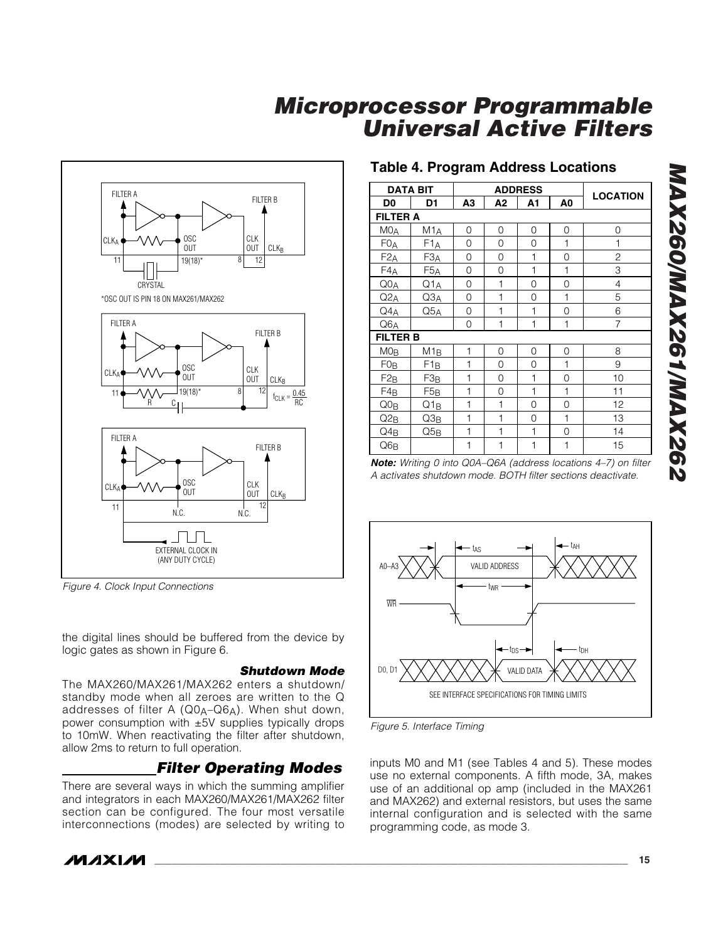

*Figure 4. Clock Input Connections*

the digital lines should be buffered from the device by logic gates as shown in Figure 6.

#### *Shutdown Mode*

The MAX260/MAX261/MAX262 enters a shutdown/ standby mode when all zeroes are written to the Q addresses of filter A (Q0 A –Q6 A). When shut down, power consumption with ±5V supplies typically drops to 10mW. When reactivating the filter after shutdown, allow 2ms to return to full operation.

### *Filter Operating Modes*

There are several ways in which the summing amplifier and integrators in each MAX260/MAX261/MAX262 filter section can be configured. The four most versatile interconnections (modes) are selected by writing to

## **Table 4. Program Address Locations**

|                      | <b>DATA BIT</b>  |              | <b>ADDRESS</b> |              |                |                 |  |  |
|----------------------|------------------|--------------|----------------|--------------|----------------|-----------------|--|--|
| D <sub>0</sub>       | D1               | А3           | А2             | A1           | A <sub>0</sub> | <b>LOCATION</b> |  |  |
| <b>FILTER A</b>      |                  |              |                |              |                |                 |  |  |
| MO <sub>A</sub>      | M1 <sub>A</sub>  | 0            | 0              | 0            | 0              | 0               |  |  |
| F0 <sub>A</sub>      | F1A              | 0            | 0              | 0            | 1              | $\mathbf{1}$    |  |  |
| F2A                  | F <sub>3</sub> A | 0            | 0              | 1            | 0              | $\overline{c}$  |  |  |
| $F4_{\underline{A}}$ | F <sub>5</sub> A | $\Omega$     | 0              | 1            | $\overline{1}$ | 3               |  |  |
| Q0 <sub>A</sub>      | Q1 <sub>A</sub>  | 0            | 1              | 0            | 0              | 4               |  |  |
| $Q2_{\underline{A}}$ | Q3 <sub>A</sub>  | 0            | 1              | 0            | $\mathbf{1}$   | 5               |  |  |
| $Q4_A$               | $Q5_A$           | 0            | 1              | $\mathbf{1}$ | 0              | 6               |  |  |
| Q6A                  |                  | 0            | 1              | 1            | 1              | $\overline{7}$  |  |  |
| <b>FILTER B</b>      |                  |              |                |              |                |                 |  |  |
| MO <sub>B</sub>      | M1B              | 1            | 0              | 0            | 0              | 8               |  |  |
| FOB                  | F <sub>1B</sub>  | 1            | $\Omega$       | 0            | $\overline{1}$ | 9               |  |  |
| $F2_B$               | F3B              | 1            | 0              | 1            | 0              | 10              |  |  |
| F4B                  | F <sub>5</sub> B | 1            | 0              | 1            | $\mathbf{1}$   | 11              |  |  |
| $Q0_B$               | Q1 <sub>B</sub>  | 1            | 1              | 0            | 0              | 12              |  |  |
| $Q2_B$               | Q3 <sub>B</sub>  | 1            | 1              | $\Omega$     | $\mathbf{1}$   | 13              |  |  |
| Q4B                  | Q5B              | 1            | 1              | $\mathbf{1}$ | 0              | 14              |  |  |
| $Q6_B$               |                  | $\mathbf{1}$ | 1              | 1            | 1              | 15              |  |  |

*Note: Writing 0 into Q0A–Q6A (address locations 4–7) on filter A activates shutdown mode. BOTH filter sections deactivate.*



*Figure 5. Interface Timing*

inputs M0 and M1 (see Tables 4 and 5). These modes use no external components. A fifth mode, 3A, makes use of an additional op amp (included in the MAX261 and MAX262) and external resistors, but uses the same internal configuration and is selected with the same programming code, as mode 3.

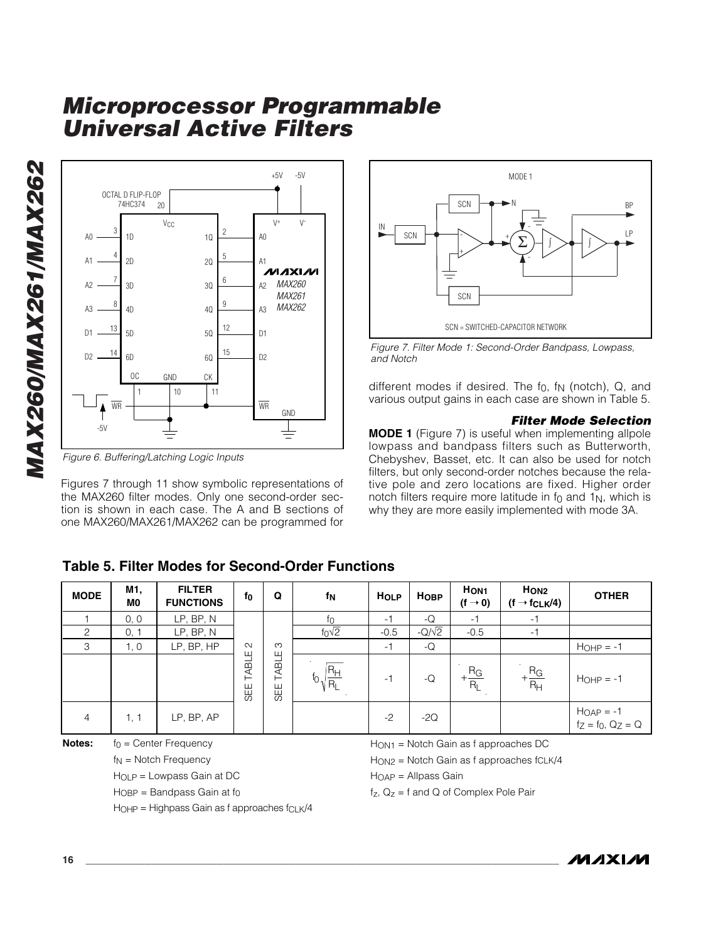

*Figure 6. Buffering/Latching Logic Inputs*

Figures 7 through 11 show symbolic representations of the MAX260 filter modes. Only one second-order section is shown in each case. The A and B sections of one MAX260/MAX261/MAX262 can be programmed for



*Figure 7. Filter Mode 1: Second-Order Bandpass, Lowpass, and Notch*

different modes if desired. The f 0, f N (notch), Q, and various output gains in each case are shown in Table 5.

#### *Filter Mode Selection*

**MODE 1** (Figure 7) is useful when implementing allpole lowpass and bandpass filters such as Butterworth, Chebyshev, Basset, etc. It can also be used for notch filters, but only second-order notches because the relative pole and zero locations are fixed. Higher order notch filters require more latitude in f 0 and 1 N, which is why they are more easily implemented with mode 3A.

### **Table 5. Filter Modes for Second-Order Functions**

| <b>MODE</b>    | M1,<br>M0                      | <b>FILTER</b><br><b>FUNCTIONS</b>      | f0           | Q            | fΝ                                   | <b>HOLP</b>                                  | HOBP                     | H <sub>ON1</sub><br>$(f \rightarrow 0)$ | H <sub>ON2</sub><br>$(f \rightarrow f_{CLK}/4)$ | <b>OTHER</b>                                               |  |
|----------------|--------------------------------|----------------------------------------|--------------|--------------|--------------------------------------|----------------------------------------------|--------------------------|-----------------------------------------|-------------------------------------------------|------------------------------------------------------------|--|
|                | 0, 0                           | LP, BP, N                              |              |              | $f_{\rm O}$                          | $-1$                                         | -Q                       | -1                                      | -1                                              |                                                            |  |
| 2              | 0, 1                           | LP, BP, N                              |              |              | $f_0\sqrt{2}$                        | $-0.5$                                       | $-Q/\sqrt{2}$            | $-0.5$                                  | $-1$                                            |                                                            |  |
| 3              | 1, 0                           | LP, BP, HP                             | $\sim$       | ო            |                                      | $-1$                                         | -Q                       |                                         |                                                 | $H_{OHP} = -1$                                             |  |
|                |                                |                                        | TABLE<br>SEE | TABLE<br>SEE | $\frac{R_{H}}{2}$<br>∣R <sub>L</sub> | $-1$                                         | $-Q$                     | $\frac{R_{\rm G}}{R_{\rm L}}$           | $+\frac{R_G}{R_H}$                              | $H_{OHP} = -1$                                             |  |
| $\overline{4}$ | 1, 1                           | LP, BP, AP                             |              |              |                                      | $-2$                                         | $-2Q$                    |                                         |                                                 | $H_{OAP} = -1$<br>fz = f <sub>0</sub> , Q <sub>Z</sub> = Q |  |
| Notes:         | $f_0$ = Center Frequency       |                                        |              |              |                                      | $HON1$ = Notch Gain as f approaches DC       |                          |                                         |                                                 |                                                            |  |
|                | $f_N$ = Notch Frequency        |                                        |              |              |                                      | HON2 = Notch Gain as f approaches fCLK/4     |                          |                                         |                                                 |                                                            |  |
|                | $H_{OLP}$ = Lowpass Gain at DC |                                        |              |              |                                      |                                              | $H_{OAP} =$ Allpass Gain |                                         |                                                 |                                                            |  |
|                |                                | $H_{\text{OBP}} =$ Bandpass Gain at fo |              |              |                                      | $f_7$ , $Q_7$ = f and Q of Complex Pole Pair |                          |                                         |                                                 |                                                            |  |

HOHP = Highpass Gain as f approaches fCLK/4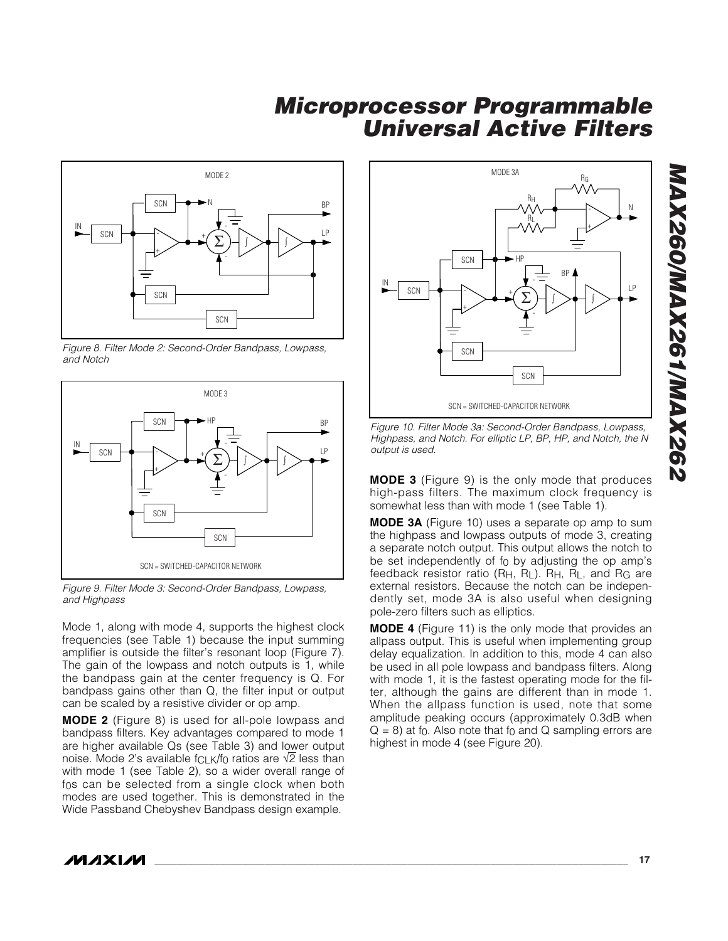

*Figure 8. Filter Mode 2: Second-Order Bandpass, Lowpass, and Notch*



*Figure 9. Filter Mode 3: Second-Order Bandpass, Lowpass, and Highpass*

Mode 1, along with mode 4, supports the highest clock frequencies (see Table 1) because the input summing amplifier is outside the filter 's resonant loop (Figure 7). The gain of the lowpass and notch outputs is 1, while the bandpass gain at the center frequency is Q. For bandpass gains other than Q, the filter input or output can be scaled by a resistive divider or op amp.

**MODE 2** (Figure 8) is used for all-pole lowpass and bandpass filters. Key advantages compared to mode 1 are higher available Qs (see Table 3) and lower output noise. Mode 2's available f<sub>CLK</sub>/f<sub>0</sub> ratios are √2 less than with mode 1 (see Table 2), so a wider overall range of f0s can be selected from a single clock when both modes are used together. This is demonstrated in the Wide Passband Chebyshev Bandpass design example.



*Figure 10. Filter Mode 3a: Second-Order Bandpass, Lowpass, Highpass, and Notch. For elliptic LP, BP, HP, and Notch, the N output is used.*

**MODE 3** (Figure 9) is the only mode that produces high-pass filters. The maximum clock frequency is somewhat less than with mode 1 (see Table 1).

**MODE 3A** (Figure 10) uses a separate op amp to sum the highpass and lowpass outputs of mode 3, creating a separate notch output. This output allows the notch to be set independently of f 0 by adjusting the op amp ' s feedback resistor ratio (R H, R L). R H, R L, and R G are external resistors. Because the notch can be independently set, mode 3A is also useful when designing pole-zero filters such as elliptics.

**MODE 4** (Figure 11) is the only mode that provides an allpass output. This is useful when implementing group delay equalization. In addition to this, mode 4 can also be used in all pole lowpass and bandpass filters. Along with mode 1, it is the fastest operating mode for the filter, although the gains are different than in mode 1. When the allpass function is used, note that some amplitude peaking occurs (approximately 0.3dB when  $Q = 8$ ) at f $_0$ . Also note that f $_0$  and  $Q$  sampling errors are highest in mode 4 (see Figure 20).

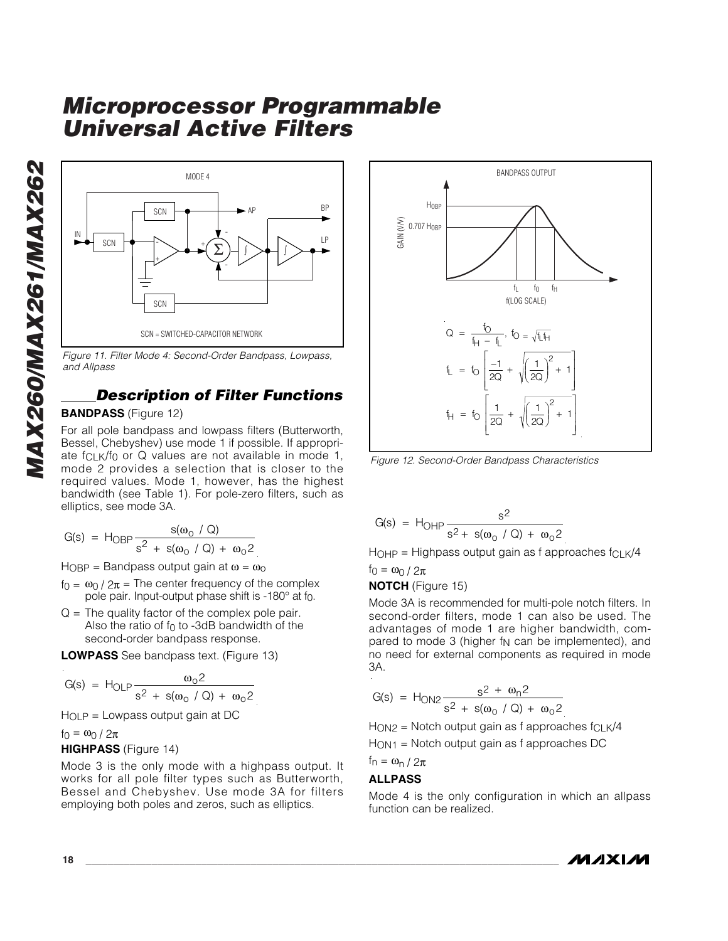

*Figure 11. Filter Mode 4: Second-Order Bandpass, Lowpass, and Allpass*

### *Description of Filter Functions*

#### **BANDPASS** (Figure 12)

For all pole bandpass and lowpass filters (Butterworth, Bessel, Chebyshev) use mode 1 if possible. If appropriate f<sub>CLK</sub>/f<sub>0</sub> or Q values are not available in mode 1, mode 2 provides a selection that is closer to the required values. Mode 1, however, has the highest bandwidth (see Table 1). For pole-zero filters, such as elliptics, see mode 3A.

$$
G(s) = H_{OBP} \frac{s(\omega_0 / Q)}{s^2 + s(\omega_0 / Q) + \omega_0 2}
$$

H $_{\rm OBP}$  = Bandpass output gain at  $\omega$  =  $\omega_{\rm O}$ 

- $f_0 = \omega_0 / 2\pi$  = The center frequency of the complex pole pair. Input-output phase shift is -180° at fo.
- $Q =$  The quality factor of the complex pole pair. Also the ratio of  $f_0$  to -3dB bandwidth of the second-order bandpass response.

**LOWPASS** See bandpass text. (Figure 13)

$$
G(s) = H_{OLP} \frac{\omega_0 2}{s^2 + s(\omega_0 / Q) + \omega_0 2}
$$

HOLP = Lowpass output gain at DC

 $f_0 = \omega_0 / 2π$ 

#### **HIGHPASS** (Figure 14)

Mode 3 is the only mode with a highpass output. It works for all pole filter types such as Butterworth, Bessel and Chebyshev. Use mode 3A for filters employing both poles and zeros, such as elliptics.



$$
G(s) = H_{\text{OHP}} \frac{s^2}{s^2 + s(\omega_0 / Q) + \omega_0 2}
$$

 $H$ OHP = Highpass output gain as f approaches f $C$ LK/4 f<sub>0</sub> =  $\omega_0$  /  $2\pi$ 

**NOTCH** (Figure 15)

Mode 3A is recommended for multi-pole notch filters. In second-order filters, mode 1 can also be used. The advantages of mode 1 are higher bandwidth, compared to mode 3 (higher  $f_N$  can be implemented), and no need for external components as required in mode

3A.  
\n
$$
G(s) = H_{ON2} \frac{s^2 + \omega_n 2}{s^2 + s(\omega_o / Q) + \omega_o 2}
$$
\n
$$
H_{ON2} = \text{Note that } \omega_0 = \omega_0 2
$$
\n
$$
H_{ON2} = \omega_0 2
$$

HON1 = Notch output gain as f approaches DC

$$
f_n = \omega_n / 2\pi
$$

#### **ALLPASS**

Mode 4 is the only configuration in which an allpass function can be realized.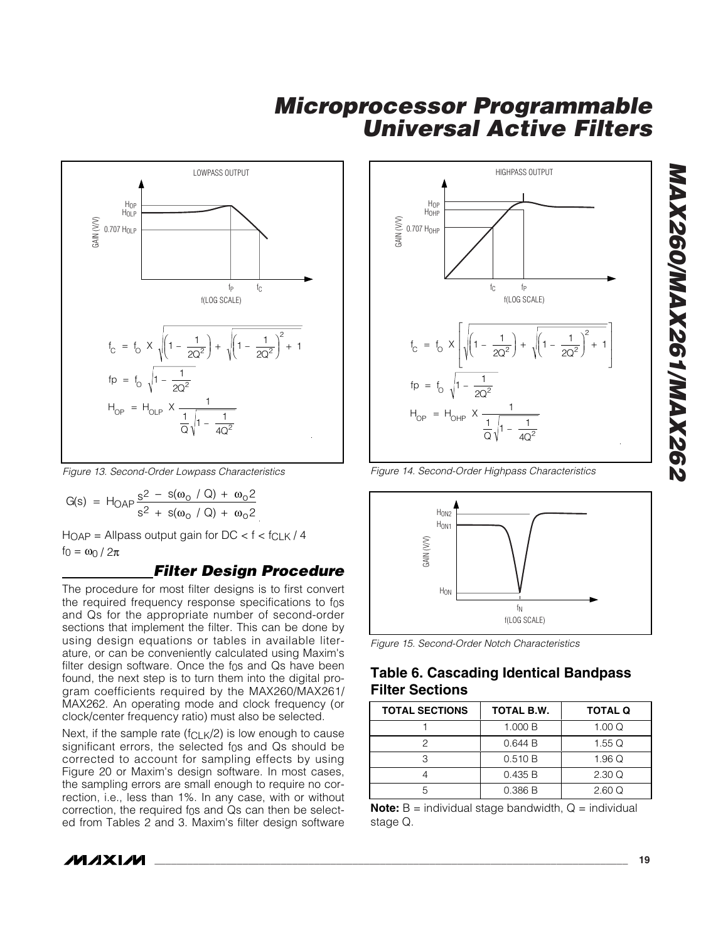

*Figure 13. Second-Order Lowpass Characteristics*

$$
G(s) = H_{OAP} \frac{s^{2} - s(\omega_{0} / Q) + \omega_{0} 2}{s^{2} + s(\omega_{0} / Q) + \omega_{0} 2}
$$

 $H_{OAP}$  = Allpass output gain for DC <  $f$  <  $f_{CLK}$  / 4  $f_0 = \omega_0 / 2\pi$ 

### *Filter Design Procedure*

The procedure for most filter designs is to first convert the required frequency response specifications to f 0 s and Qs for the appropriate number of second-order sections that implement the filter. This can be done by using design equations or tables in available literature, or can be conveniently calculated using Maxim's filter design software. Once the f 0s and Qs have been found, the next step is to turn them into the digital program coefficients required by the MAX260/MAX261/ MAX262. An operating mode and clock frequency (or clock/center frequency ratio) must also be selected.

Next, if the sample rate ( $f_{CLK}/2$ ) is low enough to cause significant errors, the selected f 0s and Qs should be corrected to account for sampling effects by using Figure 20 or Maxim's design software. In most cases, the sampling errors are small enough to require no correction, i.e., less than 1%. In any case, with or without correction, the required f 0s and Qs can then be selected from Tables 2 and 3. Maxim's filter design software



*Figure 14. Second-Order Highpass Characteristics*





### **Table 6. Cascading Identical Bandpass Filter Sections**

| <b>TOTAL SECTIONS</b> | TOTAL B.W. | <b>TOTAL Q</b> |
|-----------------------|------------|----------------|
|                       | 1.000 B    | 1.00 Q         |
|                       | 0.644 B    | 1.55 $\Omega$  |
|                       | 0.510 B    | 1.96Q          |
|                       | 0.435 B    | 2.30Q          |
|                       | 0.386B     | 2.60Q          |

**Note:**  $B =$  individual stage bandwidth,  $Q =$  individual stage Q.

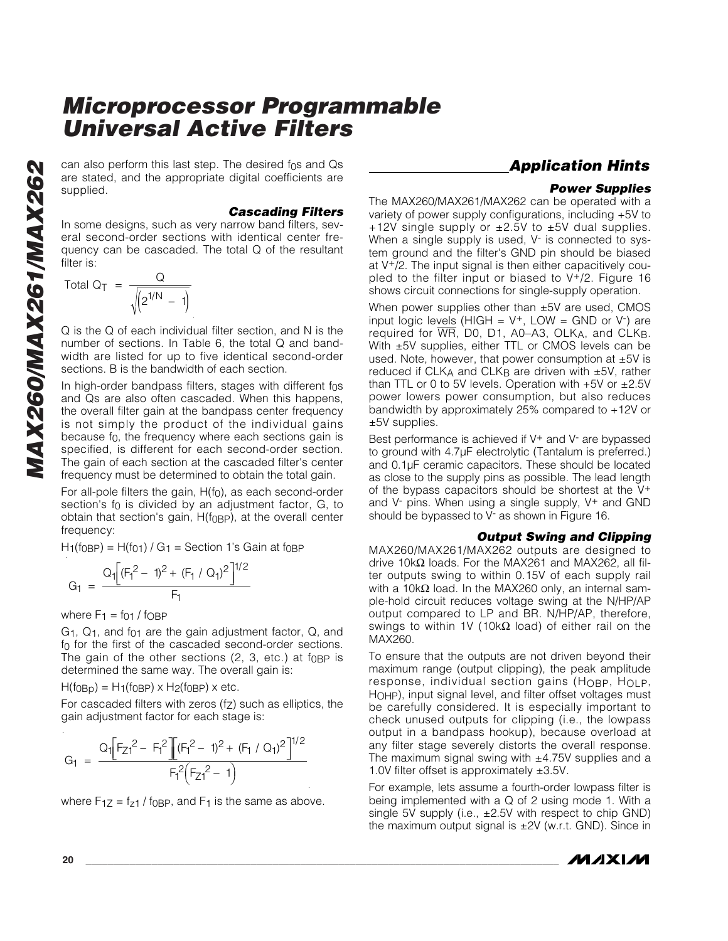can also perform this last step. The desired f 0s and Qs are stated, and the appropriate digital coefficients are supplied.

#### *Cascading Filters*

In some designs, such as very narrow band filters, several second-order sections with identical center frequency can be cascaded. The total Q of the resultant filter is:

$$
\text{Total Q}_T = \frac{Q}{\sqrt{\left(2^{1/N} - 1\right)}}
$$

Q is the Q of each individual filter section, and N is the number of sections. In Table 6, the total Q and bandwidth are listed for up to five identical second-order sections. B is the bandwidth of each section.

In high-order bandpass filters, stages with different f 0 s and Qs are also often cascaded. When this happens, the overall filter gain at the bandpass center frequency is not simply the product of the individual gains because f 0, the frequency where each sections gain is specified, is different for each second-order section. The gain of each section at the cascaded filter's center frequency must be determined to obtain the total gain.

For all-pole filters the gain, H(f 0), as each second-order section's f 0 is divided by an adjustment factor, G, to obtain that section's gain, H(f<sub>0BP</sub>), at the overall center frequency:

H1(f0BP) = H(f01) / G 1 = Section 1 's Gain at f0BP

$$
G_1 = \frac{Q_1 \left[ (F_1^2 - 1)^2 + (F_1 / Q_1)^2 \right]^{1/2}}{F_1}
$$

where F 1 = f01 / fOBP

G 1, Q 1, and f01 are the gain adjustment factor, Q, and f 0 for the first of the cascaded second-order sections. The gain of the other sections  $(2, 3, \text{ etc.})$  at f<sub>OBP</sub> is determined the same way. The overall gain is:

H(f<sub>0Bp</sub>) = H<sub>1</sub>(f<sub>0BP</sub>) x H<sub>2</sub>(f<sub>0BP</sub>) x etc.

For cascaded filters with zeros (f Z) such as elliptics, the gain adjustment factor for each stage is:

$$
G_1 = \frac{Q_1[F_{Z1}^2 - F_1^2][(F_1^2 - 1)^2 + (F_1 / Q_1)^2]^{1/2}}{F_1^2(F_{Z1}^2 - 1)}
$$

where  $F_{1Z}$  = f<sub>z1</sub> / f<sub>0BP</sub>, and  $F_1$  is the same as above.

### *Application Hints*

#### *Power Supplies*

The MAX260/MAX261/MAX262 can be operated with a variety of power supply configurations, including +5V to +12V single supply or  $\pm 2.5V$  to  $\pm 5V$  dual supplies. When a single supply is used, V<sup>-</sup> is connected to system ground and the filter's GND pin should be biased at V +/2. The input signal is then either capacitively coupled to the filter input or biased to V+/2. Figure 16 shows circuit connections for single-supply operation.

When power supplies other than ±5V are used, CMOS input logic levels (HIGH =  $V^+$ , LOW = GND or  $V^-$ ) are required for WR, D0, D1, A0 –A3, OLK A, and CLK B . With ±5V supplies, either TTL or CMOS levels can be used. Note, however, that power consumption at  $\pm 5V$  is reduced if CLK A and CLK B are driven with ±5V, rather than TTL or 0 to 5V levels. Operation with  $+5V$  or  $\pm 2.5V$ power lowers power consumption, but also reduces bandwidth by approximately 25% compared to +12V or ±5V supplies.

Best performance is achieved if V<sup>+</sup> and V<sup>-</sup> are bypassed to ground with 4.7µF electrolytic (Tantalum is preferred.) and 0.1µF ceramic capacitors. These should be located as close to the supply pins as possible. The lead length of the bypass capacitors should be shortest at the V+ and V - pins. When using a single supply, V + and GND should be bypassed to V - as shown in Figure 16.

#### *Output Swing and Clipping*

MAX260/MAX261/MAX262 outputs are designed to drive 10k Ω loads. For the MAX261 and MAX262, all filter outputs swing to within 0.15V of each supply rail with a 10k $\Omega$  load. In the MAX260 only, an internal sample-hold circuit reduces voltage swing at the N/HP/AP output compared to LP and BR. N/HP/AP, therefore, swings to within 1V (10k $\Omega$  load) of either rail on the MAX260.

To ensure that the outputs are not driven beyond their maximum range (output clipping), the peak amplitude response, individual section gains (HOBP, HOLP , HOHP), input signal level, and filter offset voltages must be carefully considered. It is especially important to check unused outputs for clipping (i.e., the lowpass output in a bandpass hookup), because overload at any filter stage severely distorts the overall response. The maximum signal swing with  $±4.75V$  supplies and a 1.0V filter offset is approximately ±3.5V.

For example, lets assume a fourth-order lowpass filter is being implemented with a Q of 2 using mode 1. With a single 5V supply (i.e.,  $\pm 2.5V$  with respect to chip GND) the maximum output signal is  $\pm 2V$  (w.r.t. GND). Since in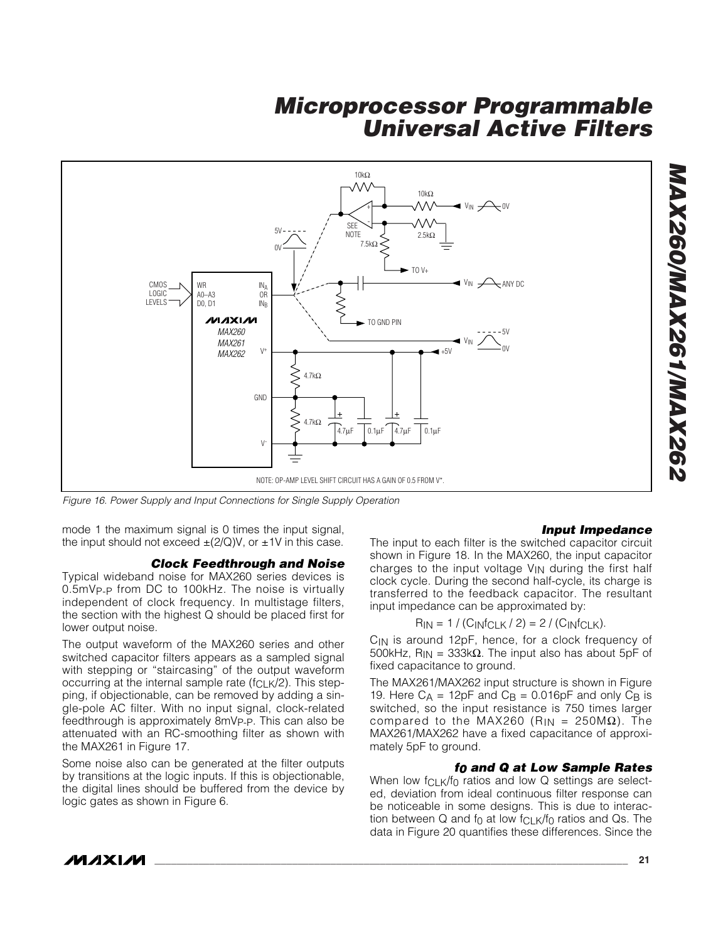

*Figure 16. Power Supply and Input Connections for Single Supply Operation*

mode 1 the maximum signal is 0 times the input signal, the input should not exceed  $\pm$ (2/Q)V, or  $\pm$ 1V in this case.

#### *Clock Feedthrough and Noise*

Typical wideband noise for MAX260 series devices is 0.5mVP-P from DC to 100kHz. The noise is virtually independent of clock frequency. In multistage filters, the section with the highest Q should be placed first for lower output noise.

The output waveform of the MAX260 series and other switched capacitor filters appears as a sampled signal with stepping or "staircasing " of the output waveform occurring at the internal sample rate ( $f_{CLK}/2$ ). This stepping, if objectionable, can be removed by adding a single-pole AC filter. With no input signal, clock-related feedthrough is approximately 8mVP-P. This can also be attenuated with an RC-smoothing filter as shown with the MAX261 in Figure 17.

Some noise also can be generated at the filter outputs by transitions at the logic inputs. If this is objectionable, the digital lines should be buffered from the device by logic gates as shown in Figure 6.

#### *Input Impedance*

The input to each filter is the switched capacitor circuit shown in Figure 18. In the MAX260, the input capacitor charges to the input voltage VIN during the first half clock cycle. During the second half-cycle, its charge is transferred to the feedback capacitor. The resultant input impedance can be approximated by:

$$
R_{IN} = 1 / (C_{INfCLK} / 2) = 2 / (C_{INfCLK}).
$$

C<sub>IN</sub> is around 12pF, hence, for a clock frequency of 500kHz,  $R_{IN}$  = 333k $\Omega$ . The input also has about 5pF of fixed capacitance to ground.

The MAX261/MAX262 input structure is shown in Figure 19. Here  $C_A = 12pF$  and  $C_B = 0.016pF$  and only  $C_B$  is switched, so the input resistance is 750 times larger compared to the MAX260 (R<sub>IN</sub> = 250MΩ). The MAX261/MAX262 have a fixed capacitance of approximately 5pF to ground.

#### *f0 and Q at Low Sample Rates*

When low f<sub>CLK</sub>/f<sub>0</sub> ratios and low Q settings are selected, deviation from ideal continuous filter response can be noticeable in some designs. This is due to interaction between  $Q$  and fo at low f $CLK/f<sub>0</sub>$  ratios and  $Qs$ . The data in Figure 20 quantifies these differences. Since the

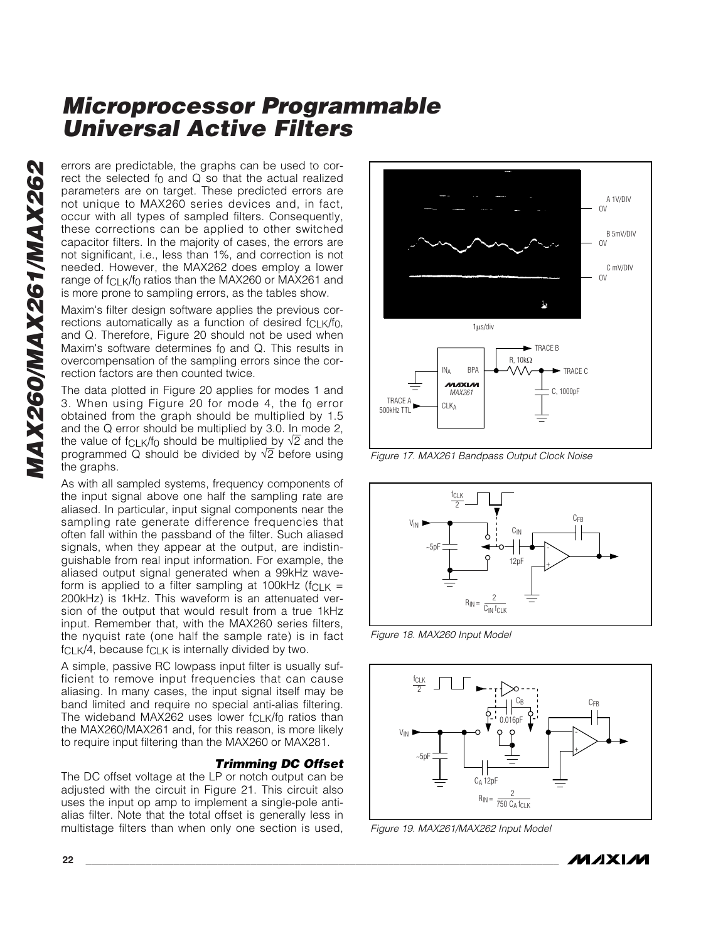errors are predictable, the graphs can be used to correct the selected fo and  $Q$  so that the actual realized parameters are on target. These predicted errors are not unique to MAX260 series devices and, in fact, occur with all types of sampled filters. Consequently, these corrections can be applied to other switched capacitor filters. In the majority of cases, the errors are not significant, i.e., less than 1%, and correction is not needed. However, the MAX262 does employ a lower range of fCLK/f 0 ratios than the MAX260 or MAX261 and is more prone to sampling errors, as the tables show.

Maxim's filter design software applies the previous corrections automatically as a function of desired  $f_{\text{Cl}} K/f_0$ , and Q. Therefore, Figure 20 should not be used when Maxim's software determines f 0 and Q. This results in overcompensation of the sampling errors since the correction factors are then counted twice.

The data plotted in Figure 20 applies for modes 1 and 3. When using Figure 20 for mode 4, the f 0 error obtained from the graph should be multiplied by 1.5 and the Q error should be multiplied by 3.0. In mode 2, the value of f $C$ LK/f $_0$  should be multiplied\_by  $\sqrt{2}$  and the programmed Q should be divided by √2 before using the graphs.

As with all sampled systems, frequency components of the input signal above one half the sampling rate are aliased. In particular, input signal components near the sampling rate generate difference frequencies that often fall within the passband of the filter. Such aliased signals, when they appear at the output, are indistinguishable from real input information. For example, the aliased output signal generated when a 99kHz waveform is applied to a filter sampling at 100kHz ( $fCLK =$ 200kHz) is 1kHz. This waveform is an attenuated version of the output that would result from a true 1kHz input. Remember that, with the MAX260 series filters, the nyquist rate (one half the sample rate) is in fact  $fCLK/4$ , because  $fCLK$  is internally divided by two.

A simple, passive RC lowpass input filter is usually sufficient to remove input frequencies that can cause aliasing. In many cases, the input signal itself may be band limited and require no special anti-alias filtering. The wideband MAX262 uses lower fCLK/f 0 ratios than the MAX260/MAX261 and, for this reason, is more likely to require input filtering than the MAX260 or MAX281.

#### *Trimming DC Offset*

The DC offset voltage at the LP or notch output can be adjusted with the circuit in Figure 21. This circuit also uses the input op amp to implement a single-pole antialias filter. Note that the total offset is generally less in multistage filters than when only one section is used,



*Figure 17. MAX261 Bandpass Output Clock Noise*



*Figure 18. MAX260 Input Model*



*Figure 19. MAX261/MAX262 Input Model*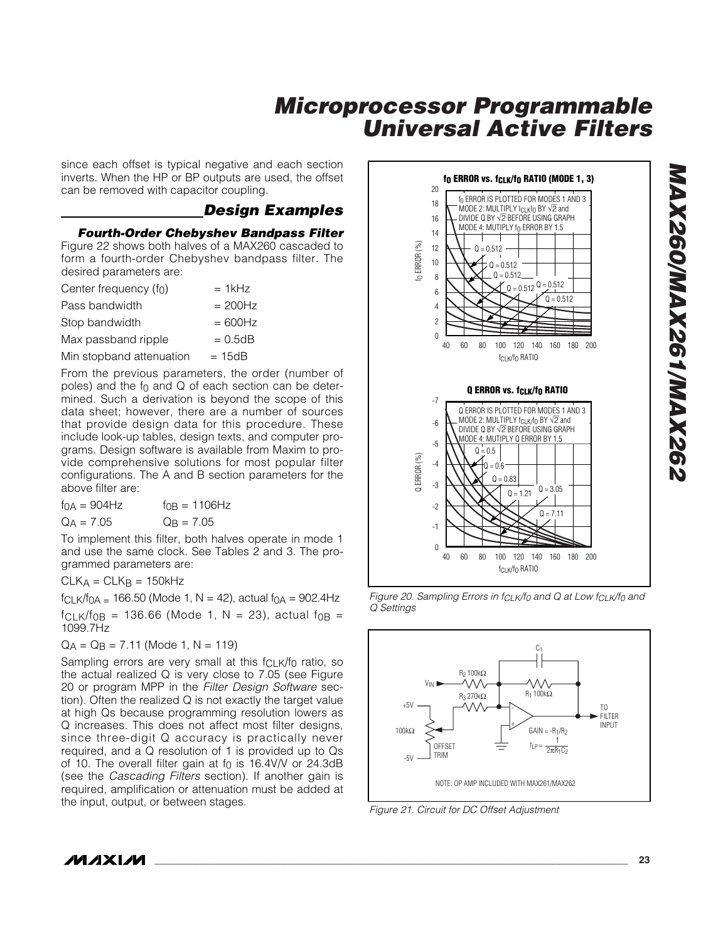since each offset is typical negative and each section inverts. When the HP or BP outputs are used, the offset can be removed with capacitor coupling.

### *Design Examples*

*Fourth-Order Chebyshev Bandpass Filter*

Figure 22 shows both halves of a MAX260 cascaded to form a fourth-order Chebyshev bandpass filter. The desired parameters are:

| Center frequency $(f_0)$ | $= 1$ kHz  |
|--------------------------|------------|
| Pass bandwidth           | $= 200$ Hz |
| Stop bandwidth           | $= 600$ Hz |
| Max passband ripple      | $= 0.5dB$  |
| Min stopband attenuation | $= 15dB$   |
|                          |            |

From the previous parameters, the order (number of poles) and the  $f_0$  and Q of each section can be determined. Such a derivation is beyond the scope of this data sheet; however, there are a number of sources that provide design data for this procedure. These include look-up tables, design texts, and computer programs. Design software is available from Maxim to provide comprehensive solutions for most popular filter configurations. The A and B section parameters for the above filter are:

| fna = 904Hz           | $f$ n = 1106Hz |
|-----------------------|----------------|
| Q <sub>A</sub> = 7.05 | $QR = 7.05$    |

To implement this filter, both halves operate in mode 1 and use the same clock. See Tables 2 and 3. The programmed parameters are:

 $CLK_A = CLK_B = 150kHz$ 

 $f_{CLK}/f_{OA} = 166.50$  (Mode 1, N = 42), actual  $f_{OA} = 902.4$ Hz  $f_{CLK}/f_{OB}$  = 136.66 (Mode 1, N = 23), actual  $f_{OB}$  = 1099.7Hz

 $QA = QB = 7.11$  (Mode 1, N = 119)

Sampling errors are very small at this f<sub>CLK</sub>/f<sub>0</sub> ratio, so the actual realized Q is very close to 7.05 (see Figure 20 or program MPP in the *Filter Design Software* section). Often the realized Q is not exactly the target value at high Qs because programming resolution lowers as Q increases. This does not affect most filter designs, since three-digit Q accuracy is practically never required, and a Q resolution of 1 is provided up to Qs of 10. The overall filter gain at f 0 is 16.4V/V or 24.3dB (see the *Cascading Filters* section). If another gain is required, amplification or attenuation must be added at the input, output, or between stages.



*Figure 20. Sampling Errors in fCLK/f0 and Q at Low fCLK/f0 and Q Settings*



*Figure 21. Circuit for DC Offset Adjustment*

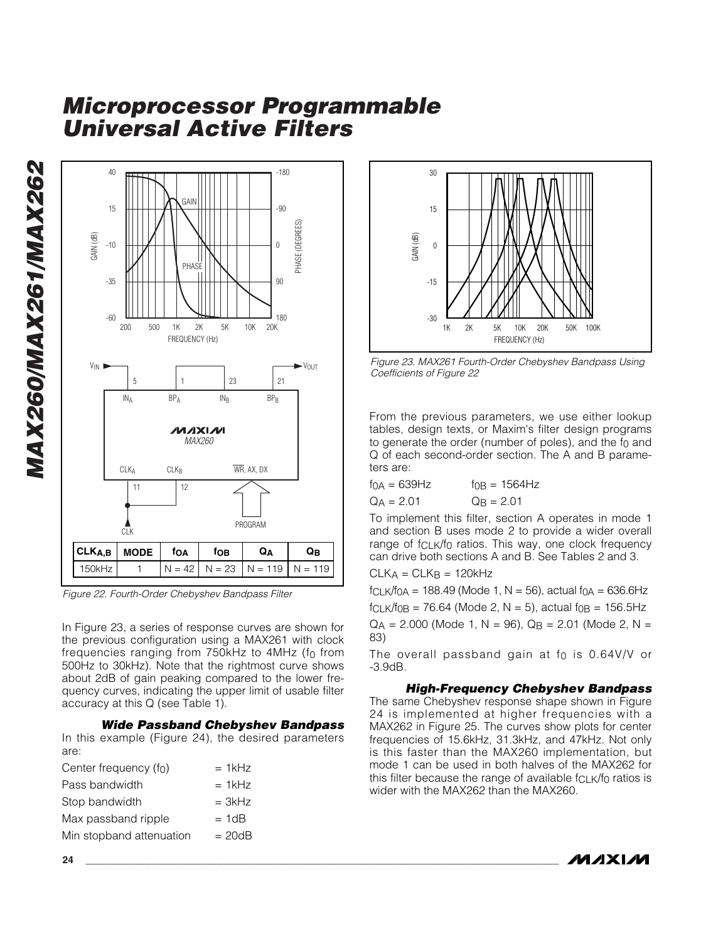*MAX260/MAX261/MAX262* MAX260/MAX261/MAX262



*Figure 22. Fourth-Order Chebyshev Bandpass Filter*

In Figure 23, a series of response curves are shown for the previous configuration using a MAX261 with clock frequencies ranging from 750kHz to 4MHz (f 0 from 500Hz to 30kHz). Note that the rightmost curve shows about 2dB of gain peaking compared to the lower frequency curves, indicating the upper limit of usable filter accuracy at this Q (see Table 1).

#### *Wide Passband Chebyshev Bandpass*

In this example (Figure 24), the desired parameters are:

| Center frequency (f <sub>0</sub> ) | $= 1$ k $Hz$ |
|------------------------------------|--------------|
| Pass bandwidth                     | $= 1$ kHz    |
| Stop bandwidth                     | $= 3kHz$     |
| Max passband ripple                | $= 1dB$      |
| Min stopband attenuation           | $= 20dB$     |



*Figure 23. MAX261 Fourth-Order Chebyshev Bandpass Using Coefficients of Figure 22*

From the previous parameters, we use either lookup tables, design texts, or Maxim's filter design programs to generate the order (number of poles), and the f 0 and Q of each second-order section. The A and B parameters are:

| $fOA = 639Hz$ | $f_{OB} = 1564$ Hz |
|---------------|--------------------|
| $Q_A = 2.01$  | $Q_B = 2.01$       |

To implement this filter, section A operates in mode 1 and section B uses mode 2 to provide a wider overall range of fCLK/f 0 ratios. This way, one clock frequency can drive both sections A and B. See Tables 2 and 3.

$$
CLK_A = CLK_B = 120kHz
$$

 $fCLK/f_{OA} = 188.49$  (Mode 1, N = 56), actual  $f_{OA} = 636.6$ Hz  $f_{CLK}/f_{OB} = 76.64$  (Mode 2, N = 5), actual  $f_{OB} = 156.5$ Hz  $Q_A$  = 2.000 (Mode 1, N = 96),  $Q_B$  = 2.01 (Mode 2, N = 83)

The overall passband gain at f 0 is 0.64V/V or -3.9dB.

### *High-Frequency Chebyshev Bandpass*

The same Chebyshev response shape shown in Figure 24 is implemented at higher frequencies with a MAX262 in Figure 25. The curves show plots for center frequencies of 15.6kHz, 31.3kHz, and 47kHz. Not only is this faster than the MAX260 implementation, but mode 1 can be used in both halves of the MAX262 for this filter because the range of available f $_{\mathsf{CLK}}$ /f $_0$  ratios is wider with the MAX262 than the MAX260.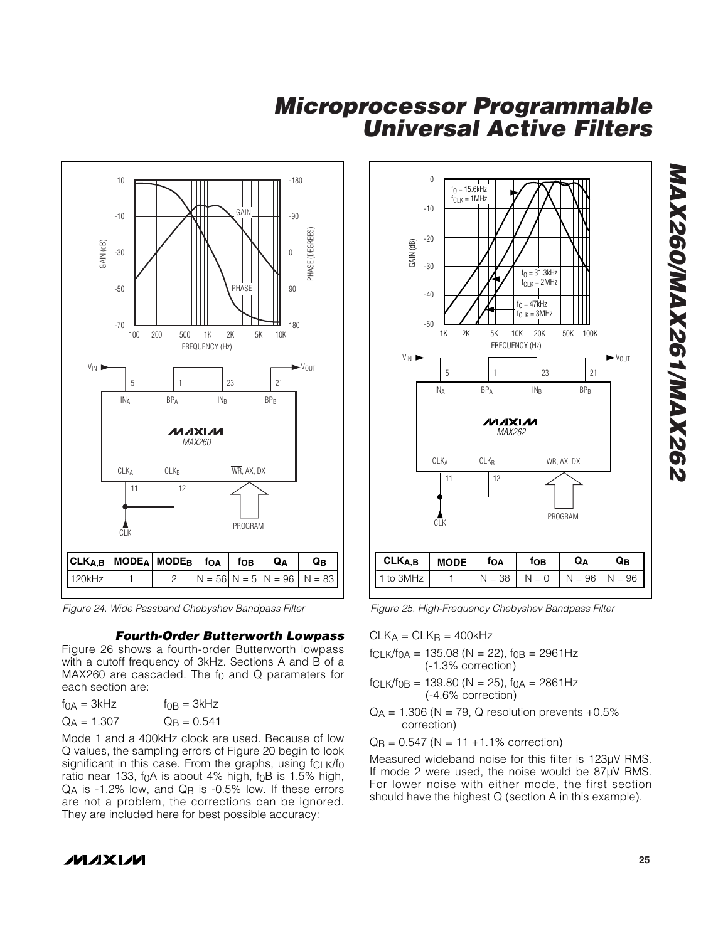

*Figure 24. Wide Passband Chebyshev Bandpass Filter*

#### *Fourth-Order Butterworth Lowpass*

Figure 26 shows a fourth-order Butterworth lowpass with a cutoff frequency of 3kHz. Sections A and B of a MAX260 are cascaded. The f 0 and Q parameters for each section are:

| f <sub>0A</sub> = 3kHz | $f_{\text{OB}} = 3kHz$ |
|------------------------|------------------------|
| $Q_A = 1.307$          | $Q_B = 0.541$          |

Mode 1 and a 400kHz clock are used. Because of low Q values, the sampling errors of Figure 20 begin to look significant in this case. From the graphs, using f<sub>CLK</sub>/f<sub>0</sub> ratio near 133, f 0A is about 4% high, f 0B is 1.5% high, Q A is -1.2% low, and Q B is -0.5% low. If these errors are not a problem, the corrections can be ignored. They are included here for best possible accuracy:



*Figure 25. High-Frequency Chebyshev Bandpass Filter*

 $CLK_A = CLK_B = 400kHz$ 

 $fCLK/f_{OA} = 135.08 (N = 22), f_{OB} = 2961Hz$ (-1.3% correction)

- $fCLK/fOB = 139.80 (N = 25), fOA = 2861Hz$ (-4.6% correction)
- $QA = 1.306$  (N = 79, Q resolution prevents +0.5% correction)

Q B = 0.547 (N = 11 +1.1% correction)

Measured wideband noise for this filter is 123µV RMS. If mode 2 were used, the noise would be 87µV RMS. For lower noise with either mode, the first section should have the highest Q (section A in this example).

*MAX260/MAX261/MAX262* **MAX260/MAX261/MAX262**